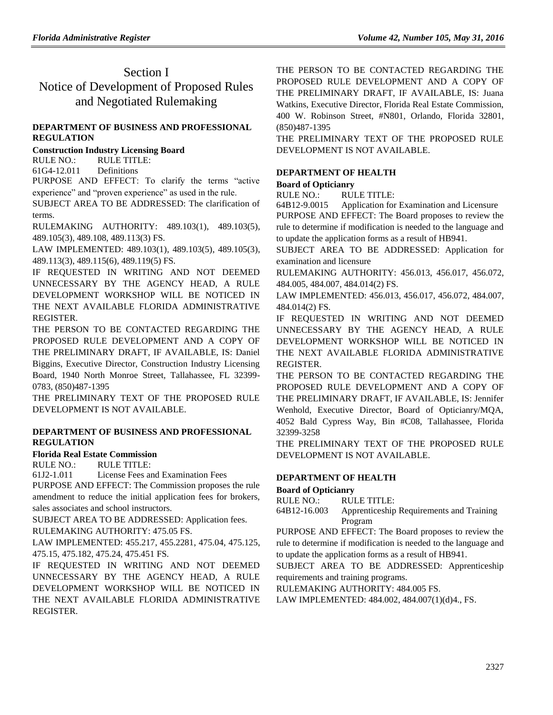# Section I Notice of Development of Proposed Rules and Negotiated Rulemaking

## **[DEPARTMENT OF BUSINESS AND PROFESSIONAL](https://www.flrules.org/gateway/department.asp?id=61)  [REGULATION](https://www.flrules.org/gateway/department.asp?id=61)**

**[Construction Industry Licensing Board](https://www.flrules.org/gateway/organization.asp?id=274)**

RULE NO.: RULE TITLE:

[61G4-12.011](https://www.flrules.org/gateway/ruleNo.asp?id=61G4-12.011) Definitions

PURPOSE AND EFFECT: To clarify the terms "active experience" and "proven experience" as used in the rule.

SUBJECT AREA TO BE ADDRESSED: The clarification of terms.

RULEMAKING AUTHORITY: [489.103\(1\),](https://www.flrules.org/gateway/statute.asp?id=489.103(1)) [489.103\(5\),](https://www.flrules.org/gateway/statute.asp?id=%20489.103(5)) [489.105\(3\),](https://www.flrules.org/gateway/statute.asp?id=%20489.105(3)) [489.108,](https://www.flrules.org/gateway/statute.asp?id=%20489.108) [489.113\(3\) FS.](https://www.flrules.org/gateway/statute.asp?id=%20489.113(3)%20FS.)

LAW IMPLEMENTED: [489.103\(1\),](https://www.flrules.org/gateway/statute.asp?id=489.103(1)) [489.103\(5\),](https://www.flrules.org/gateway/statute.asp?id=%20489.103(5)) [489.105\(3\),](https://www.flrules.org/gateway/statute.asp?id=%20489.105(3)) [489.113\(3\),](https://www.flrules.org/gateway/statute.asp?id=%20489.113(3)) [489.115\(6\),](https://www.flrules.org/gateway/statute.asp?id=%20489.115(6)) [489.119\(5\) FS.](https://www.flrules.org/gateway/statute.asp?id=%20489.119(5)%20FS.)

IF REQUESTED IN WRITING AND NOT DEEMED UNNECESSARY BY THE AGENCY HEAD, A RULE DEVELOPMENT WORKSHOP WILL BE NOTICED IN THE NEXT AVAILABLE FLORIDA ADMINISTRATIVE REGISTER.

THE PERSON TO BE CONTACTED REGARDING THE PROPOSED RULE DEVELOPMENT AND A COPY OF THE PRELIMINARY DRAFT, IF AVAILABLE, IS: Daniel Biggins, Executive Director, Construction Industry Licensing Board, 1940 North Monroe Street, Tallahassee, FL 32399- 0783, (850)487-1395

THE PRELIMINARY TEXT OF THE PROPOSED RULE DEVELOPMENT IS NOT AVAILABLE.

# **[DEPARTMENT OF BUSINESS AND PROFESSIONAL](https://www.flrules.org/gateway/department.asp?id=61)  [REGULATION](https://www.flrules.org/gateway/department.asp?id=61)**

# **[Florida Real Estate Commission](https://www.flrules.org/gateway/organization.asp?id=283)**

RULE NO.: RULE TITLE:

[61J2-1.011](https://www.flrules.org/gateway/ruleNo.asp?id=61J2-1.011) License Fees and Examination Fees PURPOSE AND EFFECT: The Commission proposes the rule

amendment to reduce the initial application fees for brokers, sales associates and school instructors.

SUBJECT AREA TO BE ADDRESSED: Application fees. RULEMAKING AUTHORITY: [475.05 FS.](https://www.flrules.org/gateway/statute.asp?id=475.05%20FS.)

LAW IMPLEMENTED: [455.217,](https://www.flrules.org/gateway/statute.asp?id=455.217) [455.2281,](https://www.flrules.org/gateway/statute.asp?id=%20455.2281) [475.04,](https://www.flrules.org/gateway/statute.asp?id=%20475.04) [475.125,](https://www.flrules.org/gateway/statute.asp?id=%20475.125) [475.15,](https://www.flrules.org/gateway/statute.asp?id=%20475.15) [475.182,](https://www.flrules.org/gateway/statute.asp?id=%20475.182) [475.24,](https://www.flrules.org/gateway/statute.asp?id=%20475.24) [475.451 FS.](https://www.flrules.org/gateway/statute.asp?id=%20%20475.451%20FS.)

IF REQUESTED IN WRITING AND NOT DEEMED UNNECESSARY BY THE AGENCY HEAD, A RULE DEVELOPMENT WORKSHOP WILL BE NOTICED IN THE NEXT AVAILABLE FLORIDA ADMINISTRATIVE REGISTER.

THE PERSON TO BE CONTACTED REGARDING THE PROPOSED RULE DEVELOPMENT AND A COPY OF THE PRELIMINARY DRAFT, IF AVAILABLE, IS: Juana Watkins, Executive Director, Florida Real Estate Commission, 400 W. Robinson Street, #N801, Orlando, Florida 32801, (850)487-1395

THE PRELIMINARY TEXT OF THE PROPOSED RULE DEVELOPMENT IS NOT AVAILABLE.

## **[DEPARTMENT OF HEALTH](https://www.flrules.org/gateway/department.asp?id=64)**

## **[Board of Opticianry](https://www.flrules.org/gateway/organization.asp?id=303)**

RULE NO.: RULE TITLE:

[64B12-9.0015](https://www.flrules.org/gateway/ruleNo.asp?id=64B12-9.0015) Application for Examination and Licensure PURPOSE AND EFFECT: The Board proposes to review the rule to determine if modification is needed to the language and to update the application forms as a result of HB941.

SUBJECT AREA TO BE ADDRESSED: Application for examination and licensure

RULEMAKING AUTHORITY: [456.013,](https://www.flrules.org/gateway/statute.asp?id=456.013) [456.017,](https://www.flrules.org/gateway/statute.asp?id=%20456.017) [456.072,](https://www.flrules.org/gateway/statute.asp?id=%20456.072) [484.005,](https://www.flrules.org/gateway/statute.asp?id=%20484.005) [484.007,](https://www.flrules.org/gateway/statute.asp?id=%20484.007) [484.014\(2\) FS.](https://www.flrules.org/gateway/statute.asp?id=%20484.014(2)%20FS.)

LAW IMPLEMENTED: [456.013,](https://www.flrules.org/gateway/statute.asp?id=456.013) [456.017,](https://www.flrules.org/gateway/statute.asp?id=%20456.017) [456.072,](https://www.flrules.org/gateway/statute.asp?id=%20456.072) [484.007,](https://www.flrules.org/gateway/statute.asp?id=%20484.007) [484.014\(2\) FS.](https://www.flrules.org/gateway/statute.asp?id=%20484.014(2)%20FS.)

IF REQUESTED IN WRITING AND NOT DEEMED UNNECESSARY BY THE AGENCY HEAD, A RULE DEVELOPMENT WORKSHOP WILL BE NOTICED IN THE NEXT AVAILABLE FLORIDA ADMINISTRATIVE REGISTER.

THE PERSON TO BE CONTACTED REGARDING THE PROPOSED RULE DEVELOPMENT AND A COPY OF THE PRELIMINARY DRAFT, IF AVAILABLE, IS: Jennifer Wenhold, Executive Director, Board of Opticianry/MQA, 4052 Bald Cypress Way, Bin #C08, Tallahassee, Florida 32399-3258

THE PRELIMINARY TEXT OF THE PROPOSED RULE DEVELOPMENT IS NOT AVAILABLE.

# **[DEPARTMENT OF HEALTH](https://www.flrules.org/gateway/department.asp?id=64)**

**[Board of Opticianry](https://www.flrules.org/gateway/organization.asp?id=303)**

RULE NO.: RULE TITLE:

[64B12-16.003](https://www.flrules.org/gateway/ruleNo.asp?id=64B12-16.003) Apprenticeship Requirements and Training Program

PURPOSE AND EFFECT: The Board proposes to review the rule to determine if modification is needed to the language and to update the application forms as a result of HB941.

SUBJECT AREA TO BE ADDRESSED: Apprenticeship requirements and training programs.

RULEMAKING AUTHORITY: [484.005 FS.](https://www.flrules.org/gateway/statute.asp?id=484.005%20FS.)

LAW IMPLEMENTED: [484.002, 484.007\(1\)\(d\)4., FS.](https://www.flrules.org/gateway/cfr.asp?id=484.002,%20484.007(1)(d)4.,%20FS)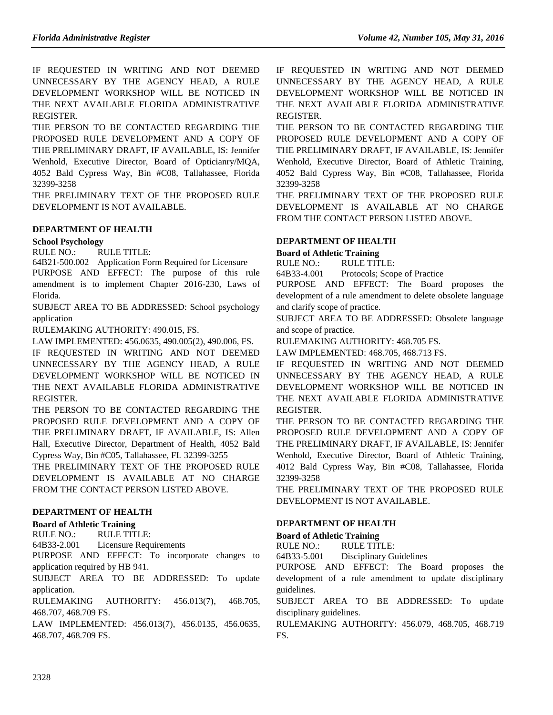IF REQUESTED IN WRITING AND NOT DEEMED UNNECESSARY BY THE AGENCY HEAD, A RULE DEVELOPMENT WORKSHOP WILL BE NOTICED IN THE NEXT AVAILABLE FLORIDA ADMINISTRATIVE REGISTER.

THE PERSON TO BE CONTACTED REGARDING THE PROPOSED RULE DEVELOPMENT AND A COPY OF THE PRELIMINARY DRAFT, IF AVAILABLE, IS: Jennifer Wenhold, Executive Director, Board of Opticianry/MQA, 4052 Bald Cypress Way, Bin #C08, Tallahassee, Florida 32399-3258

THE PRELIMINARY TEXT OF THE PROPOSED RULE DEVELOPMENT IS NOT AVAILABLE.

#### **[DEPARTMENT OF](https://www.flrules.org/gateway/department.asp?id=64) HEALTH**

#### **[School Psychology](https://www.flrules.org/gateway/organization.asp?id=313)**

RULE NO.: RULE TITLE:

[64B21-500.002](https://www.flrules.org/gateway/ruleNo.asp?id=64B21-500.002) Application Form Required for Licensure PURPOSE AND EFFECT: The purpose of this rule amendment is to implement Chapter 2016-230, Laws of Florida.

SUBJECT AREA TO BE ADDRESSED: School psychology application

RULEMAKING AUTHORITY: [490.015, FS.](https://www.flrules.org/gateway/cfr.asp?id=490.015,%20FS)

LAW IMPLEMENTED: [456.0635, 490.005\(2\), 490.006, FS.](https://www.flrules.org/gateway/cfr.asp?id=456.0635,%20490.005(2),%20490.006,%20FS) IF REQUESTED IN WRITING AND NOT DEEMED UNNECESSARY BY THE AGENCY HEAD, A RULE DEVELOPMENT WORKSHOP WILL BE NOTICED IN THE NEXT AVAILABLE FLORIDA ADMINISTRATIVE REGISTER.

THE PERSON TO BE CONTACTED REGARDING THE PROPOSED RULE DEVELOPMENT AND A COPY OF THE PRELIMINARY DRAFT, IF AVAILABLE, IS: Allen Hall, Executive Director, Department of Health, 4052 Bald Cypress Way, Bin #C05, Tallahassee, FL 32399-3255

THE PRELIMINARY TEXT OF THE PROPOSED RULE DEVELOPMENT IS AVAILABLE AT NO CHARGE FROM THE CONTACT PERSON LISTED ABOVE.

### **[DEPARTMENT OF HEALTH](https://www.flrules.org/gateway/department.asp?id=64)**

#### **[Board of Athletic Training](https://www.flrules.org/gateway/organization.asp?id=326)**

RULE NO.: RULE TITLE:

[64B33-2.001](https://www.flrules.org/gateway/ruleNo.asp?id=64B33-2.001) Licensure Requirements

PURPOSE AND EFFECT: To incorporate changes to application required by HB 941.

SUBJECT AREA TO BE ADDRESSED: To update application.

RULEMAKING AUTHORITY: [456.013\(7\),](https://www.flrules.org/gateway/statute.asp?id=456.013(7)) [468.705,](https://www.flrules.org/gateway/statute.asp?id=%20468.705) [468.707,](https://www.flrules.org/gateway/statute.asp?id=%20468.707) [468.709 FS.](https://www.flrules.org/gateway/statute.asp?id=%20468.709%20FS.)

LAW IMPLEMENTED: [456.013\(7\),](https://www.flrules.org/gateway/statute.asp?id=456.013(7)) [456.0135,](https://www.flrules.org/gateway/statute.asp?id=%20456.0135) [456.0635,](https://www.flrules.org/gateway/statute.asp?id=%20456.0635) [468.707,](https://www.flrules.org/gateway/statute.asp?id=%20468.707) [468.709 FS.](https://www.flrules.org/gateway/statute.asp?id=%20468.709%20FS.)

IF REQUESTED IN WRITING AND NOT DEEMED UNNECESSARY BY THE AGENCY HEAD, A RULE DEVELOPMENT WORKSHOP WILL BE NOTICED IN THE NEXT AVAILABLE FLORIDA ADMINISTRATIVE REGISTER.

THE PERSON TO BE CONTACTED REGARDING THE PROPOSED RULE DEVELOPMENT AND A COPY OF THE PRELIMINARY DRAFT, IF AVAILABLE, IS: Jennifer Wenhold, Executive Director, Board of Athletic Training, 4052 Bald Cypress Way, Bin #C08, Tallahassee, Florida 32399-3258

THE PRELIMINARY TEXT OF THE PROPOSED RULE DEVELOPMENT IS AVAILABLE AT NO CHARGE FROM THE CONTACT PERSON LISTED ABOVE.

# **[DEPARTMENT OF HEALTH](https://www.flrules.org/gateway/department.asp?id=64)**

**[Board of Athletic Training](https://www.flrules.org/gateway/organization.asp?id=326)**

RULE NO.: RULE TITLE:

[64B33-4.001](https://www.flrules.org/gateway/ruleNo.asp?id=64B33-4.001) Protocols; Scope of Practice

PURPOSE AND EFFECT: The Board proposes the development of a rule amendment to delete obsolete language and clarify scope of practice.

SUBJECT AREA TO BE ADDRESSED: Obsolete language and scope of practice.

RULEMAKING AUTHORITY: [468.705 FS.](https://www.flrules.org/gateway/cfr.asp?id=468.705%20FS)

LAW IMPLEMENTED: [468.705, 468.713 FS.](https://www.flrules.org/gateway/cfr.asp?id=468.705,%20468.713%20FS)

IF REQUESTED IN WRITING AND NOT DEEMED UNNECESSARY BY THE AGENCY HEAD, A RULE DEVELOPMENT WORKSHOP WILL BE NOTICED IN THE NEXT AVAILABLE FLORIDA ADMINISTRATIVE REGISTER.

THE PERSON TO BE CONTACTED REGARDING THE PROPOSED RULE DEVELOPMENT AND A COPY OF THE PRELIMINARY DRAFT, IF AVAILABLE, IS: Jennifer Wenhold, Executive Director, Board of Athletic Training, 4012 Bald Cypress Way, Bin #C08, Tallahassee, Florida 32399-3258

THE PRELIMINARY TEXT OF THE PROPOSED RULE DEVELOPMENT IS NOT AVAILABLE.

### **[DEPARTMENT OF HEALTH](https://www.flrules.org/gateway/department.asp?id=64)**

**[Board of Athletic Training](https://www.flrules.org/gateway/organization.asp?id=326)**

RULE NO.: RULE TITLE:

[64B33-5.001](https://www.flrules.org/gateway/ruleNo.asp?id=64B33-5.001) Disciplinary Guidelines

PURPOSE AND EFFECT: The Board proposes the development of a rule amendment to update disciplinary guidelines.

SUBJECT AREA TO BE ADDRESSED: To update disciplinary guidelines.

RULEMAKING AUTHORITY: [456.079,](https://www.flrules.org/gateway/statute.asp?id=456.079) [468.705,](https://www.flrules.org/gateway/statute.asp?id=%20468.705) [468.719](https://www.flrules.org/gateway/statute.asp?id=%20468.719%20FS.)  [FS.](https://www.flrules.org/gateway/statute.asp?id=%20468.719%20FS.)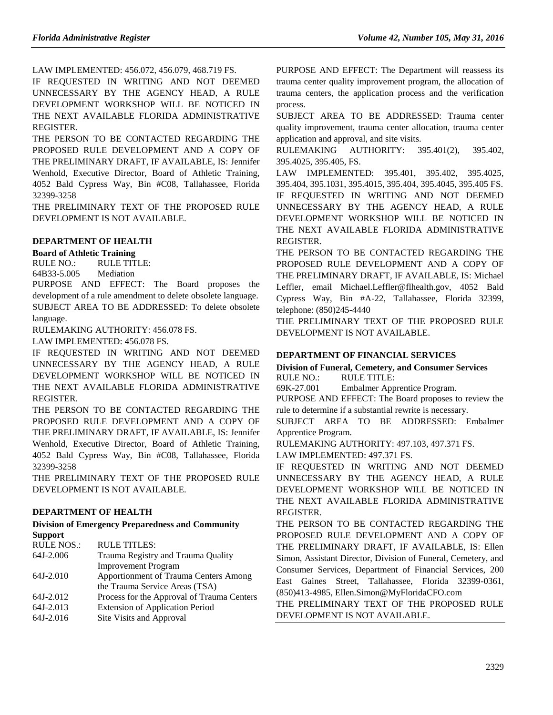LAW IMPLEMENTED: [456.072,](https://www.flrules.org/gateway/statute.asp?id=456.072) [456.079,](https://www.flrules.org/gateway/statute.asp?id=%20456.079) [468.719 FS.](https://www.flrules.org/gateway/statute.asp?id=%20468.719%20FS.)

IF REQUESTED IN WRITING AND NOT DEEMED UNNECESSARY BY THE AGENCY HEAD, A RULE DEVELOPMENT WORKSHOP WILL BE NOTICED IN THE NEXT AVAILABLE FLORIDA ADMINISTRATIVE **REGISTER** 

THE PERSON TO BE CONTACTED REGARDING THE PROPOSED RULE DEVELOPMENT AND A COPY OF THE PRELIMINARY DRAFT, IF AVAILABLE, IS: Jennifer Wenhold, Executive Director, Board of Athletic Training, 4052 Bald Cypress Way, Bin #C08, Tallahassee, Florida 32399-3258

THE PRELIMINARY TEXT OF THE PROPOSED RULE DEVELOPMENT IS NOT AVAILABLE.

## **[DEPARTMENT OF HEALTH](https://www.flrules.org/gateway/department.asp?id=64)**

**[Board of Athletic Training](https://www.flrules.org/gateway/organization.asp?id=326)**

RULE NO.: RULE TITLE:

[64B33-5.005](https://www.flrules.org/gateway/ruleNo.asp?id=64B33-5.005) Mediation

PURPOSE AND EFFECT: The Board proposes the development of a rule amendment to delete obsolete language. SUBJECT AREA TO BE ADDRESSED: To delete obsolete language.

RULEMAKING AUTHORITY: [456.078 FS.](https://www.flrules.org/gateway/cfr.asp?id=456.078%20FS)

LAW IMPLEMENTED: [456.078 FS.](https://www.flrules.org/gateway/cfr.asp?id=456.078%20FS)

IF REQUESTED IN WRITING AND NOT DEEMED UNNECESSARY BY THE AGENCY HEAD, A RULE DEVELOPMENT WORKSHOP WILL BE NOTICED IN THE NEXT AVAILABLE FLORIDA ADMINISTRATIVE REGISTER.

THE PERSON TO BE CONTACTED REGARDING THE PROPOSED RULE DEVELOPMENT AND A COPY OF THE PRELIMINARY DRAFT, IF AVAILABLE, IS: Jennifer Wenhold, Executive Director, Board of Athletic Training, 4052 Bald Cypress Way, Bin #C08, Tallahassee, Florida 32399-3258

THE PRELIMINARY TEXT OF THE PROPOSED RULE DEVELOPMENT IS NOT AVAILABLE.

### **[DEPARTMENT OF HEALTH](https://www.flrules.org/gateway/department.asp?id=64)**

#### **[Division of Emergency Preparedness and Community](https://www.flrules.org/gateway/organization.asp?id=832)  [Support](https://www.flrules.org/gateway/organization.asp?id=832)**

| <b>RULE NOS.:</b> | <b>RULE TITLES:</b>                        |  |  |
|-------------------|--------------------------------------------|--|--|
| 64J-2.006         | Trauma Registry and Trauma Quality         |  |  |
|                   | <b>Improvement Program</b>                 |  |  |
| 64J-2.010         | Apportionment of Trauma Centers Among      |  |  |
|                   | the Trauma Service Areas (TSA)             |  |  |
| 64J-2.012         | Process for the Approval of Trauma Centers |  |  |
| 64J-2.013         | <b>Extension of Application Period</b>     |  |  |
| 64J-2.016         | Site Visits and Approval                   |  |  |

PURPOSE AND EFFECT: The Department will reassess its trauma center quality improvement program, the allocation of trauma centers, the application process and the verification process.

SUBJECT AREA TO BE ADDRESSED: Trauma center quality improvement, trauma center allocation, trauma center application and approval, and site visits.

RULEMAKING AUTHORITY: [395.401\(2\),](https://www.flrules.org/gateway/statute.asp?id=395.401(2)) [395.402,](https://www.flrules.org/gateway/statute.asp?id=%20395.402) [395.4025,](https://www.flrules.org/gateway/statute.asp?id=%20395.4025) [395.405,](https://www.flrules.org/gateway/statute.asp?id=%20395.405) FS.

LAW IMPLEMENTED: [395.401, 395.402, 395.4025,](https://www.flrules.org/gateway/cfr.asp?id=395.401,%20395.402,%20395.4025,%20395.404,%20395.1031,%20395.4015,%20395.404,%20395.4045,%20395.405%20FS)  [395.404, 395.1031, 395.4015, 395.404, 395.4045, 395.405 FS.](https://www.flrules.org/gateway/cfr.asp?id=395.401,%20395.402,%20395.4025,%20395.404,%20395.1031,%20395.4015,%20395.404,%20395.4045,%20395.405%20FS) IF REQUESTED IN WRITING AND NOT DEEMED UNNECESSARY BY THE AGENCY HEAD, A RULE DEVELOPMENT WORKSHOP WILL BE NOTICED IN THE NEXT AVAILABLE FLORIDA ADMINISTRATIVE REGISTER.

THE PERSON TO BE CONTACTED REGARDING THE PROPOSED RULE DEVELOPMENT AND A COPY OF THE PRELIMINARY DRAFT, IF AVAILABLE, IS: Michael Leffler, email Michael.Leffler@flhealth.gov, 4052 Bald Cypress Way, Bin #A-22, Tallahassee, Florida 32399, telephone: (850)245-4440

THE PRELIMINARY TEXT OF THE PROPOSED RULE DEVELOPMENT IS NOT AVAILABLE.

# **[DEPARTMENT OF FINANCIAL SERVICES](https://www.flrules.org/gateway/department.asp?id=69)**

**[Division of Funeral, Cemetery, and Consumer Services](https://www.flrules.org/gateway/organization.asp?id=369)** RULE NO.: RULE TITLE:

[69K-27.001](https://www.flrules.org/gateway/ruleNo.asp?id=69K-27.001) Embalmer Apprentice Program.

PURPOSE AND EFFECT: The Board proposes to review the rule to determine if a substantial rewrite is necessary.

SUBJECT AREA TO BE ADDRESSED: Embalmer Apprentice Program.

RULEMAKING AUTHORITY: [497.103,](https://www.flrules.org/gateway/statute.asp?id=497.103) [497.371 FS.](https://www.flrules.org/gateway/statute.asp?id=%20497.371%20FS.)

LAW IMPLEMENTED: [497.371 FS.](https://www.flrules.org/gateway/statute.asp?id=497.371%20FS.)

IF REQUESTED IN WRITING AND NOT DEEMED UNNECESSARY BY THE AGENCY HEAD, A RULE DEVELOPMENT WORKSHOP WILL BE NOTICED IN THE NEXT AVAILABLE FLORIDA ADMINISTRATIVE REGISTER.

THE PERSON TO BE CONTACTED REGARDING THE PROPOSED RULE DEVELOPMENT AND A COPY OF THE PRELIMINARY DRAFT, IF AVAILABLE, IS: Ellen Simon, Assistant Director, Division of Funeral, Cemetery, and Consumer Services, Department of Financial Services, 200 East Gaines Street, Tallahassee, Florida 32399-0361, (850)413-4985, Ellen.Simon@MyFloridaCFO.com

THE PRELIMINARY TEXT OF THE PROPOSED RULE DEVELOPMENT IS NOT AVAILABLE.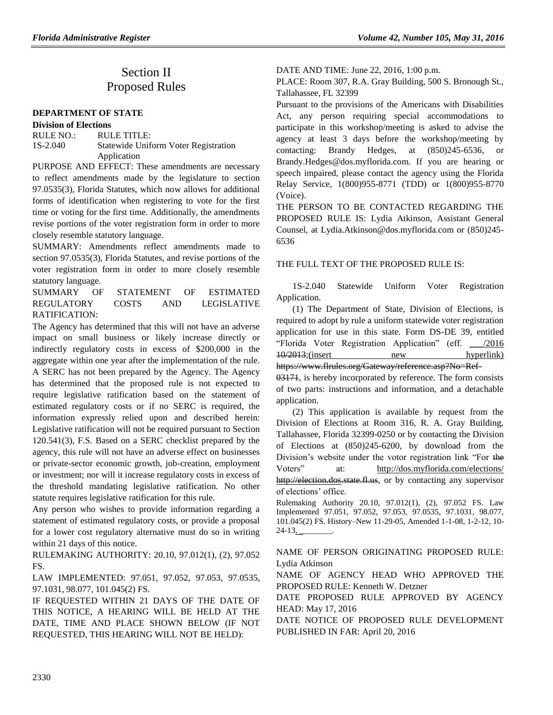# Section II Proposed Rules

#### **DEPARTMENT OF STATE**

**Division of Elections**

RULE NO.: RULE TITLE: 1S-2.040 Statewide Uniform Voter Registration Application

PURPOSE AND EFFECT: These amendments are necessary to reflect amendments made by the legislature to section 97.0535(3), Florida Statutes, which now allows for additional forms of identification when registering to vote for the first time or voting for the first time. Additionally, the amendments revise portions of the voter registration form in order to more closely resemble statutory language.

SUMMARY: Amendments reflect amendments made to section 97.0535(3), Florida Statutes, and revise portions of the voter registration form in order to more closely resemble statutory language.

SUMMARY OF STATEMENT OF ESTIMATED REGULATORY COSTS AND LEGISLATIVE RATIFICATION:

The Agency has determined that this will not have an adverse impact on small business or likely increase directly or indirectly regulatory costs in excess of \$200,000 in the aggregate within one year after the implementation of the rule. A SERC has not been prepared by the Agency. The Agency has determined that the proposed rule is not expected to require legislative ratification based on the statement of estimated regulatory costs or if no SERC is required, the information expressly relied upon and described herein: Legislative ratification will not be required pursuant to Section 120.541(3), F.S. Based on a SERC checklist prepared by the agency, this rule will not have an adverse effect on businesses or private-sector economic growth, job-creation, employment or investment; nor will it increase regulatory costs in excess of the threshold mandating legislative ratification. No other statute requires legislative ratification for this rule.

Any person who wishes to provide information regarding a statement of estimated regulatory costs, or provide a proposal for a lower cost regulatory alternative must do so in writing within 21 days of this notice.

RULEMAKING AUTHORITY: 20.10, 97.012(1), (2), 97.052 FS.

LAW IMPLEMENTED: 97.051, 97.052, 97.053, 97.0535, 97.1031, 98.077, 101.045(2) FS.

IF REQUESTED WITHIN 21 DAYS OF THE DATE OF THIS NOTICE, A HEARING WILL BE HELD AT THE DATE, TIME AND PLACE SHOWN BELOW (IF NOT REQUESTED, THIS HEARING WILL NOT BE HELD):

DATE AND TIME: June 22, 2016, 1:00 p.m.

PLACE: Room 307, R.A. Gray Building, 500 S. Bronough St., Tallahassee, FL 32399

Pursuant to the provisions of the Americans with Disabilities Act, any person requiring special accommodations to participate in this workshop/meeting is asked to advise the agency at least 3 days before the workshop/meeting by contacting: Brandy Hedges, at (850)245-6536, or Brandy.Hedges@dos.myflorida.com. If you are hearing or speech impaired, please contact the agency using the Florida Relay Service, 1(800)955-8771 (TDD) or 1(800)955-8770 (Voice).

THE PERSON TO BE CONTACTED REGARDING THE PROPOSED RULE IS: Lydia Atkinson, Assistant General Counsel, at Lydia.Atkinson@dos.myflorida.com or (850)245- 6536

THE FULL TEXT OF THE PROPOSED RULE IS:

1S-2.040 Statewide Uniform Voter Registration Application.

(1) The Department of State, Division of Elections, is required to adopt by rule a uniform statewide voter registration application for use in this state. Form DS-DE 39, entitled "Florida Voter Registration Application" (eff. \_\_\_/2016 10/2013; (insert new hyperlink)

https://www.flrules.org/Gateway/reference.asp?No=Ref-

03171, is hereby incorporated by reference. The form consists of two parts: instructions and information, and a detachable application.

(2) This application is available by request from the Division of Elections at Room 316, R. A. Gray Building, Tallahassee, Florida 32399-0250 or by contacting the Division of Elections at (850)245-6200, by download from the Division's website under the votor registration link "For the Voters" at: <http://dos.myflorida.com/elections/> [http://election.dos.](http://election.dos/)state.fl.us, or by contacting any supervisor of elections' office.

Rulemaking Authority 20.10, 97.012(1), (2), 97.052 FS. Law Implemented 97.051, 97.052, 97.053, 97.0535, 97.1031, 98.077, 101.045(2) FS. History–New 11-29-05, Amended 1-1-08, 1-2-12, 10- 24-13, \_\_\_\_\_\_\_\_.

NAME OF PERSON ORIGINATING PROPOSED RULE: Lydia Atkinson

NAME OF AGENCY HEAD WHO APPROVED THE PROPOSED RULE: Kenneth W. Detzner

DATE PROPOSED RULE APPROVED BY AGENCY HEAD: May 17, 2016

DATE NOTICE OF PROPOSED RULE DEVELOPMENT PUBLISHED IN FAR: April 20, 2016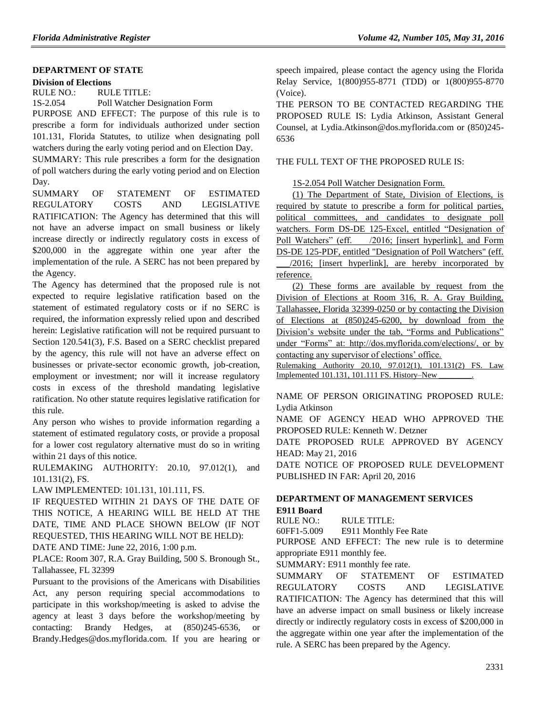#### **DEPARTMENT OF STATE**

#### **Division of Elections**

RULE NO.: RULE TITLE:

1S-2.054 Poll Watcher Designation Form

PURPOSE AND EFFECT: The purpose of this rule is to prescribe a form for individuals authorized under section 101.131, Florida Statutes, to utilize when designating poll watchers during the early voting period and on Election Day.

SUMMARY: This rule prescribes a form for the designation of poll watchers during the early voting period and on Election Day.

SUMMARY OF STATEMENT OF ESTIMATED REGULATORY COSTS AND LEGISLATIVE RATIFICATION: The Agency has determined that this will not have an adverse impact on small business or likely increase directly or indirectly regulatory costs in excess of \$200,000 in the aggregate within one year after the implementation of the rule. A SERC has not been prepared by the Agency.

The Agency has determined that the proposed rule is not expected to require legislative ratification based on the statement of estimated regulatory costs or if no SERC is required, the information expressly relied upon and described herein: Legislative ratification will not be required pursuant to Section 120.541(3), F.S. Based on a SERC checklist prepared by the agency, this rule will not have an adverse effect on businesses or private-sector economic growth, job-creation, employment or investment; nor will it increase regulatory costs in excess of the threshold mandating legislative ratification. No other statute requires legislative ratification for this rule.

Any person who wishes to provide information regarding a statement of estimated regulatory costs, or provide a proposal for a lower cost regulatory alternative must do so in writing within 21 days of this notice.

RULEMAKING AUTHORITY: 20.10, 97.012(1), and 101.131(2), FS.

LAW IMPLEMENTED: 101.131, 101.111, FS.

IF REQUESTED WITHIN 21 DAYS OF THE DATE OF THIS NOTICE, A HEARING WILL BE HELD AT THE DATE, TIME AND PLACE SHOWN BELOW (IF NOT REQUESTED, THIS HEARING WILL NOT BE HELD):

DATE AND TIME: June 22, 2016, 1:00 p.m.

PLACE: Room 307, R.A. Gray Building, 500 S. Bronough St., Tallahassee, FL 32399

Pursuant to the provisions of the Americans with Disabilities Act, any person requiring special accommodations to participate in this workshop/meeting is asked to advise the agency at least 3 days before the workshop/meeting by contacting: Brandy Hedges, at (850)245-6536, or Brandy.Hedges@dos.myflorida.com. If you are hearing or speech impaired, please contact the agency using the Florida Relay Service, 1(800)955-8771 (TDD) or 1(800)955-8770 (Voice).

THE PERSON TO BE CONTACTED REGARDING THE PROPOSED RULE IS: Lydia Atkinson, Assistant General Counsel, at Lydia.Atkinson@dos.myflorida.com or (850)245- 6536

#### THE FULL TEXT OF THE PROPOSED RULE IS:

1S-2.054 Poll Watcher Designation Form.

(1) The Department of State, Division of Elections, is required by statute to prescribe a form for political parties, political committees, and candidates to designate poll watchers. Form DS-DE 125-Excel, entitled "Designation of Poll Watchers" (eff.  $/2016$ ; [insert hyperlink], and Form DS-DE 125-PDF, entitled "Designation of Poll Watchers" (eff.

\_\_\_/2016; [insert hyperlink], are hereby incorporated by reference.

(2) These forms are available by request from the Division of Elections at Room 316, R. A. Gray Building, Tallahassee, Florida 32399-0250 or by contacting the Division of Elections at (850)245-6200, by download from the Division's website under the tab, "Forms and Publications" under "Forms" at: http://dos.myflorida.com/elections/, or by contacting any supervisor of elections' office.

Rulemaking Authority 20.10, 97.012(1), 101.131(2) FS. Law Implemented 101.131, 101.111 FS. History–New \_\_\_\_\_\_\_\_.

NAME OF PERSON ORIGINATING PROPOSED RULE: Lydia Atkinson

NAME OF AGENCY HEAD WHO APPROVED THE PROPOSED RULE: Kenneth W. Detzner

DATE PROPOSED RULE APPROVED BY AGENCY HEAD: May 21, 2016

DATE NOTICE OF PROPOSED RULE DEVELOPMENT PUBLISHED IN FAR: April 20, 2016

# **[DEPARTMENT OF MANAGEMENT SERVICES](https://www.flrules.org/gateway/department.asp?id=60) [E911 Board](https://www.flrules.org/gateway/organization.asp?id=958)**

RULE NO.: RULE TITLE:

[60FF1-5.009](https://www.flrules.org/gateway/ruleNo.asp?id=60FF1-5.009) E911 Monthly Fee Rate

PURPOSE AND EFFECT: The new rule is to determine appropriate E911 monthly fee.

SUMMARY: E911 monthly fee rate.

SUMMARY OF STATEMENT OF ESTIMATED REGULATORY COSTS AND LEGISLATIVE RATIFICATION: The Agency has determined that this will have an adverse impact on small business or likely increase directly or indirectly regulatory costs in excess of \$200,000 in the aggregate within one year after the implementation of the rule. A SERC has been prepared by the Agency.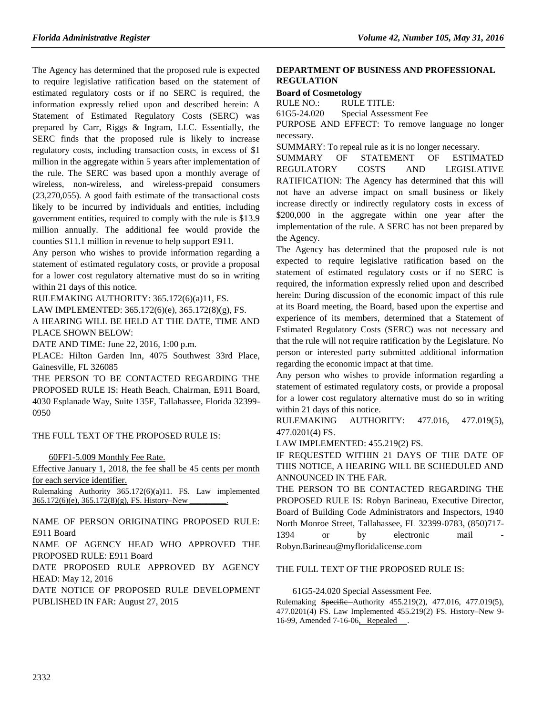The Agency has determined that the proposed rule is expected to require legislative ratification based on the statement of estimated regulatory costs or if no SERC is required, the information expressly relied upon and described herein: A Statement of Estimated Regulatory Costs (SERC) was prepared by Carr, Riggs & Ingram, LLC. Essentially, the SERC finds that the proposed rule is likely to increase regulatory costs, including transaction costs, in excess of \$1 million in the aggregate within 5 years after implementation of the rule. The SERC was based upon a monthly average of wireless, non-wireless, and wireless-prepaid consumers (23,270,055). A good faith estimate of the transactional costs likely to be incurred by individuals and entities, including government entities, required to comply with the rule is \$13.9 million annually. The additional fee would provide the counties \$11.1 million in revenue to help support E911.

Any person who wishes to provide information regarding a statement of estimated regulatory costs, or provide a proposal for a lower cost regulatory alternative must do so in writing within 21 days of this notice.

RULEMAKING AUTHORITY: [365.172\(6\)\(a\)11, FS.](https://www.flrules.org/gateway/cfr.asp?id=365.172(6)(a)11,%20FS)

LAW IMPLEMENTED: [365.172\(6\)\(e\), 365.172\(8\)\(g\), FS.](https://www.flrules.org/gateway/cfr.asp?id=365.172(6)(e),%20365.172(8)(g),%20FS) A HEARING WILL BE HELD AT THE DATE, TIME AND

PLACE SHOWN BELOW:

DATE AND TIME: June 22, 2016, 1:00 p.m.

PLACE: Hilton Garden Inn, 4075 Southwest 33rd Place, Gainesville, FL 326085

THE PERSON TO BE CONTACTED REGARDING THE PROPOSED RULE IS: Heath Beach, Chairman, E911 Board, 4030 Esplanade Way, Suite 135F, Tallahassee, Florida 32399- 0950

THE FULL TEXT OF THE PROPOSED RULE IS:

60FF1-5.009 Monthly Fee Rate.

Effective January 1, 2018, the fee shall be 45 cents per month for each service identifier.

Rulemaking Authority 365.172(6)(a)11. FS. Law implemented  $365.172(6)(e)$ ,  $365.172(8)(g)$ , FS. History–New

NAME OF PERSON ORIGINATING PROPOSED RULE: E911 Board

NAME OF AGENCY HEAD WHO APPROVED THE PROPOSED RULE: E911 Board

DATE PROPOSED RULE APPROVED BY AGENCY HEAD: May 12, 2016

DATE NOTICE OF PROPOSED RULE DEVELOPMENT PUBLISHED IN FAR: August 27, 2015

## **[DEPARTMENT OF BUSINESS AND PROFESSIONAL](https://www.flrules.org/gateway/department.asp?id=61)  [REGULATION](https://www.flrules.org/gateway/department.asp?id=61)**

#### **[Board of Cosmetology](https://www.flrules.org/gateway/organization.asp?id=275)**

RULE NO.: RULE TITLE:

[61G5-24.020](https://www.flrules.org/gateway/ruleNo.asp?id=61G5-24.020) Special Assessment Fee

PURPOSE AND EFFECT: To remove language no longer necessary.

SUMMARY: To repeal rule as it is no longer necessary.

SUMMARY OF STATEMENT OF ESTIMATED REGULATORY COSTS AND LEGISLATIVE RATIFICATION: The Agency has determined that this will not have an adverse impact on small business or likely increase directly or indirectly regulatory costs in excess of \$200,000 in the aggregate within one year after the implementation of the rule. A SERC has not been prepared by the Agency.

The Agency has determined that the proposed rule is not expected to require legislative ratification based on the statement of estimated regulatory costs or if no SERC is required, the information expressly relied upon and described herein: During discussion of the economic impact of this rule at its Board meeting, the Board, based upon the expertise and experience of its members, determined that a Statement of Estimated Regulatory Costs (SERC) was not necessary and that the rule will not require ratification by the Legislature. No person or interested party submitted additional information regarding the economic impact at that time.

Any person who wishes to provide information regarding a statement of estimated regulatory costs, or provide a proposal for a lower cost regulatory alternative must do so in writing within 21 days of this notice.

RULEMAKING AUTHORITY: [477.016, 477.019\(5\),](https://www.flrules.org/gateway/cfr.asp?id=477.016,%20477.019(5),%20477.0201(4)%20FS)  [477.0201\(4\) FS.](https://www.flrules.org/gateway/cfr.asp?id=477.016,%20477.019(5),%20477.0201(4)%20FS)

LAW IMPLEMENTED: [455.219\(2\) FS.](https://www.flrules.org/gateway/cfr.asp?id=455.219(2)%20FS)

IF REQUESTED WITHIN 21 DAYS OF THE DATE OF THIS NOTICE, A HEARING WILL BE SCHEDULED AND ANNOUNCED IN THE FAR.

THE PERSON TO BE CONTACTED REGARDING THE PROPOSED RULE IS: Robyn Barineau, Executive Director, Board of Building Code Administrators and Inspectors, 1940 North Monroe Street, Tallahassee, FL 32399-0783, (850)717- 1394 or by electronic mail Robyn.Barineau@myfloridalicense.com

### THE FULL TEXT OF THE PROPOSED RULE IS:

61G5-24.020 Special Assessment Fee.

Rulemaking Specific Authority 455.219(2), 477.016, 477.019(5), 477.0201(4) FS. Law Implemented 455.219(2) FS. History–New 9- 16-99, Amended 7-16-06, Repealed .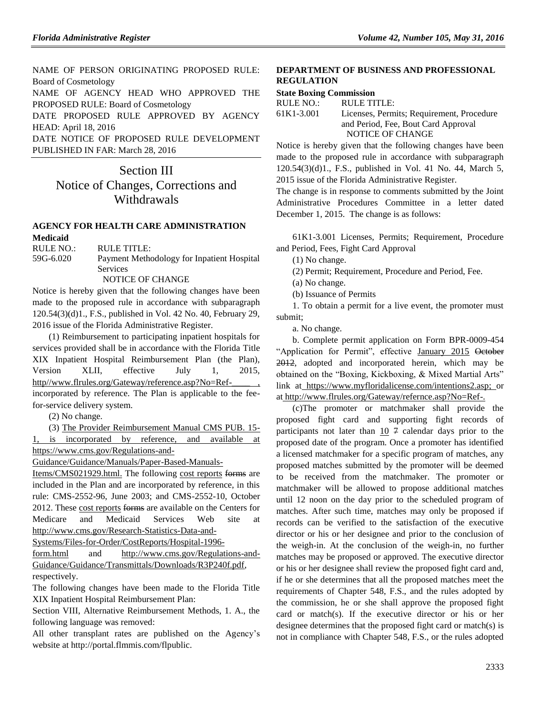NAME OF PERSON ORIGINATING PROPOSED RULE: Board of Cosmetology

NAME OF AGENCY HEAD WHO APPROVED THE PROPOSED RULE: Board of Cosmetology

DATE PROPOSED RULE APPROVED BY AGENCY HEAD: April 18, 2016

DATE NOTICE OF PROPOSED RULE DEVELOPMENT PUBLISHED IN FAR: March 28, 2016

# Section III Notice of Changes, Corrections and Withdrawals

# **[AGENCY FOR HEALTH CARE ADMINISTRATION](https://www.flrules.org/gateway/department.asp?id=59)**

#### **[Medicaid](https://www.flrules.org/gateway/organization.asp?id=192)**

RULE NO.: RULE TITLE:

[59G-6.020](https://www.flrules.org/gateway/ruleNo.asp?id=59G-6.020) Payment Methodology for Inpatient Hospital Services

#### NOTICE OF CHANGE

Notice is hereby given that the following changes have been made to the proposed rule in accordance with subparagraph 120.54(3)(d)1., F.S., published in Vol. 42 No. 40, February 29, 2016 issue of the Florida Administrative Register.

(1) Reimbursement to participating inpatient hospitals for services provided shall be in accordance with the Florida Title XIX Inpatient Hospital Reimbursement Plan (the Plan), Version XLII, effective July 1, 2015, http//www.flrules.org/Gateway/reference.asp?No=Refincorporated by reference. The Plan is applicable to the feefor-service delivery system.

(2) No change.

(3) The Provider Reimbursement Manual CMS PUB. 15-

1, is incorporated by reference, and available at [https://www.cms.gov/Regulations-and-](https://www.cms.gov/Regulations-and-Guidance/Guidance/Manuals/Paper-Based-Manuals-Items/CMS021929.html)

[Guidance/Guidance/Manuals/Paper-Based-Manuals-](https://www.cms.gov/Regulations-and-Guidance/Guidance/Manuals/Paper-Based-Manuals-Items/CMS021929.html)

[Items/CMS021929.html.](https://www.cms.gov/Regulations-and-Guidance/Guidance/Manuals/Paper-Based-Manuals-Items/CMS021929.html) The following cost reports forms are included in the Plan and are incorporated by reference, in this rule: CMS-2552-96, June 2003; and CMS-2552-10, October 2012. These cost reports forms are available on the Centers for Medicare and Medicaid Services Web site at [http://www.cms.gov/Research-Statistics-Data-and-](http://www.cms.gov/Research-Statistics-Data-and-Systems/Files-for-Order/CostReports/Hospital-1996-form.html)

[Systems/Files-for-Order/CostReports/Hospital-1996-](http://www.cms.gov/Research-Statistics-Data-and-Systems/Files-for-Order/CostReports/Hospital-1996-form.html)

[form.html](http://www.cms.gov/Research-Statistics-Data-and-Systems/Files-for-Order/CostReports/Hospital-1996-form.html) and [http://www.cms.gov/Regulations-and-](http://www.cms.gov/Regulations-and-Guidance/Guidance/Transmittals/Downloads/R3P240f.pdf)[Guidance/Guidance/Transmittals/Downloads/R3P240f.pdf,](http://www.cms.gov/Regulations-and-Guidance/Guidance/Transmittals/Downloads/R3P240f.pdf) respectively.

The following changes have been made to the Florida Title XIX Inpatient Hospital Reimbursement Plan:

Section VIII, Alternative Reimbursement Methods, 1. A., the following language was removed:

All other transplant rates are published on the Agency's website at http://portal.flmmis.com/flpublic.

#### **[DEPARTMENT OF BUSINESS AND PROFESSIONAL](https://www.flrules.org/gateway/department.asp?id=61)  [REGULATION](https://www.flrules.org/gateway/department.asp?id=61)**

#### **[State Boxing Commission](https://www.flrules.org/gateway/organization.asp?id=285)**

| RULE NO.:  | RULE TITLE:                               |
|------------|-------------------------------------------|
| 61K1-3.001 | Licenses, Permits; Requirement, Procedure |
|            | and Period, Fee, Bout Card Approval       |
|            | NOTICE OF CHANGE                          |

Notice is hereby given that the following changes have been made to the proposed rule in accordance with subparagraph 120.54(3)(d)1., F.S., published in Vol. 41 No. 44, March 5, 2015 issue of the Florida Administrative Register.

The change is in response to comments submitted by the Joint Administrative Procedures Committee in a letter dated December 1, 2015. The change is as follows:

61K1-3.001 Licenses, Permits; Requirement, Procedure and Period, Fees, Fight Card Approval

(1) No change.

(2) Permit; Requirement, Procedure and Period, Fee.

(a) No change.

(b) Issuance of Permits

1. To obtain a permit for a live event, the promoter must submit;

a. No change.

b. Complete permit application on Form BPR-0009-454 "Application for Permit", effective January 2015 October 2012, adopted and incorporated herein, which may be obtained on the "Boxing, Kickboxing, & Mixed Martial Arts" link at [https://www.myfloridalicense.com/intentions2.asp;](https://www.myfloridalicense.com/intentions2.asp) or at <http://www.flrules.org/Gateway/refernce.asp?No=Ref-.>

(c)The promoter or matchmaker shall provide the proposed fight card and supporting fight records of participants not later than  $10 \div 7$  calendar days prior to the proposed date of the program. Once a promoter has identified a licensed matchmaker for a specific program of matches, any proposed matches submitted by the promoter will be deemed to be received from the matchmaker. The promoter or matchmaker will be allowed to propose additional matches until 12 noon on the day prior to the scheduled program of matches. After such time, matches may only be proposed if records can be verified to the satisfaction of the executive director or his or her designee and prior to the conclusion of the weigh-in. At the conclusion of the weigh-in, no further matches may be proposed or approved. The executive director or his or her designee shall review the proposed fight card and, if he or she determines that all the proposed matches meet the requirements of Chapter 548, F.S., and the rules adopted by the commission, he or she shall approve the proposed fight card or match(s). If the executive director or his or her designee determines that the proposed fight card or match(s) is not in compliance with Chapter 548, F.S., or the rules adopted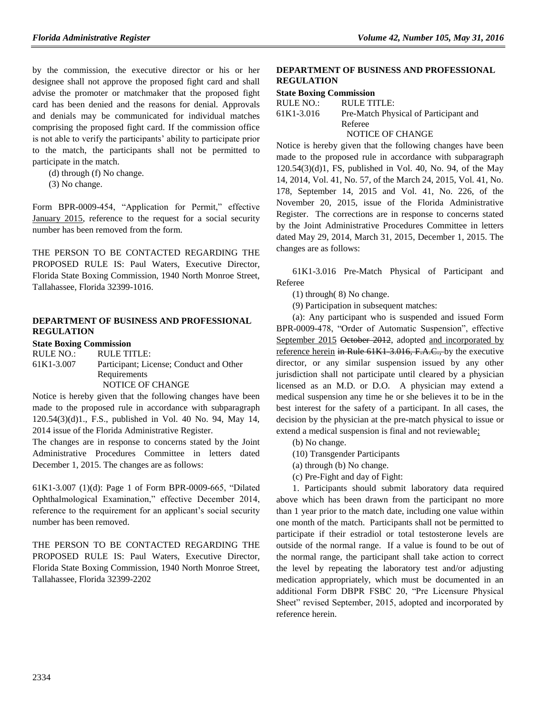by the commission, the executive director or his or her designee shall not approve the proposed fight card and shall advise the promoter or matchmaker that the proposed fight card has been denied and the reasons for denial. Approvals and denials may be communicated for individual matches comprising the proposed fight card. If the commission office is not able to verify the participants' ability to participate prior to the match, the participants shall not be permitted to participate in the match.

(d) through (f) No change.

(3) No change.

Form BPR-0009-454, "Application for Permit," effective January 2015, reference to the request for a social security number has been removed from the form.

THE PERSON TO BE CONTACTED REGARDING THE PROPOSED RULE IS: Paul Waters, Executive Director, Florida State Boxing Commission, 1940 North Monroe Street, Tallahassee, Florida 32399-1016.

#### **[DEPARTMENT OF BUSINESS AND PROFESSIONAL](https://www.flrules.org/gateway/department.asp?id=61)  [REGULATION](https://www.flrules.org/gateway/department.asp?id=61)**

#### **[State Boxing Commission](https://www.flrules.org/gateway/organization.asp?id=285)**

RULE NO.: RULE TITLE:

[61K1-3.007](https://www.flrules.org/gateway/ruleNo.asp?id=61K1-3.007) Participant; License; Conduct and Other **Requirements** NOTICE OF CHANGE

Notice is hereby given that the following changes have been made to the proposed rule in accordance with subparagraph 120.54(3)(d)1., F.S., published in Vol. 40 No. 94, May 14, 2014 issue of the Florida Administrative Register.

The changes are in response to concerns stated by the Joint Administrative Procedures Committee in letters dated December 1, 2015. The changes are as follows:

61K1-3.007 (1)(d): Page 1 of Form BPR-0009-665, "Dilated Ophthalmological Examination," effective December 2014, reference to the requirement for an applicant's social security number has been removed.

THE PERSON TO BE CONTACTED REGARDING THE PROPOSED RULE IS: Paul Waters, Executive Director, Florida State Boxing Commission, 1940 North Monroe Street, Tallahassee, Florida 32399-2202

#### **[DEPARTMENT OF BUSINESS AND PROFESSIONAL](https://www.flrules.org/gateway/department.asp?id=61)  [REGULATION](https://www.flrules.org/gateway/department.asp?id=61)**

#### **[State Boxing Commission](https://www.flrules.org/gateway/organization.asp?id=285)**

| RULE NO.:  | RULE TITLE:                           |
|------------|---------------------------------------|
| 61K1-3.016 | Pre-Match Physical of Participant and |
|            | Referee                               |
|            | MORICE OF CILIMAT                     |

#### NOTICE OF CHANGE

Notice is hereby given that the following changes have been made to the proposed rule in accordance with subparagraph 120.54(3)(d)1, FS, published in Vol. 40, No. 94, of the May 14, 2014, Vol. 41, No. 57, of the March 24, 2015, Vol. 41, No. 178, September 14, 2015 and Vol. 41, No. 226, of the November 20, 2015, issue of the Florida Administrative Register. The corrections are in response to concerns stated by the Joint Administrative Procedures Committee in letters dated May 29, 2014, March 31, 2015, December 1, 2015. The changes are as follows:

61K1-3.016 Pre-Match Physical of Participant and Referee

(1) through( 8) No change.

(9) Participation in subsequent matches:

(a): Any participant who is suspended and issued Form BPR-0009-478, "Order of Automatic Suspension", effective September 2015 October 2012, adopted and incorporated by reference herein in Rule 61K1 3.016, F.A.C., by the executive director, or any similar suspension issued by any other jurisdiction shall not participate until cleared by a physician licensed as an M.D. or D.O. A physician may extend a medical suspension any time he or she believes it to be in the best interest for the safety of a participant. In all cases, the decision by the physician at the pre-match physical to issue or extend a medical suspension is final and not reviewable;

(b) No change.

(10) Transgender Participants

(a) through (b) No change.

(c) Pre-Fight and day of Fight:

1. Participants should submit laboratory data required above which has been drawn from the participant no more than 1 year prior to the match date, including one value within one month of the match. Participants shall not be permitted to participate if their estradiol or total testosterone levels are outside of the normal range. If a value is found to be out of the normal range, the participant shall take action to correct the level by repeating the laboratory test and/or adjusting medication appropriately, which must be documented in an additional Form DBPR FSBC 20, "Pre Licensure Physical Sheet" revised September, 2015, adopted and incorporated by reference herein.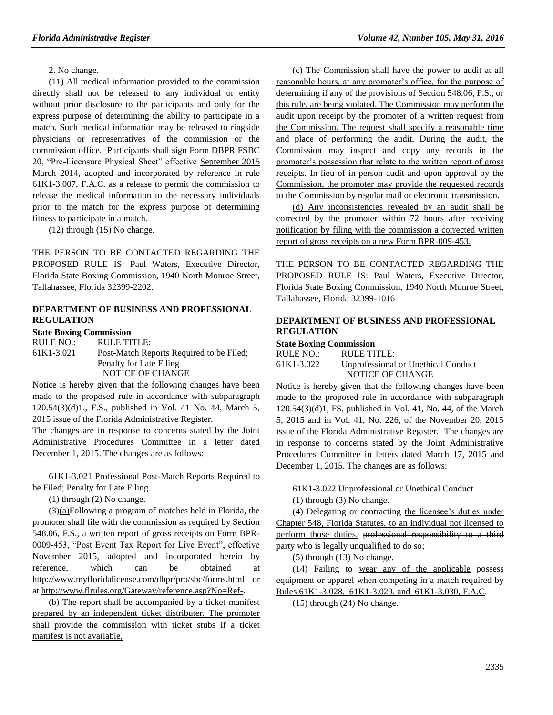2. No change.

(11) All medical information provided to the commission directly shall not be released to any individual or entity without prior disclosure to the participants and only for the express purpose of determining the ability to participate in a match. Such medical information may be released to ringside physicians or representatives of the commission or the commission office. Participants shall sign Form DBPR FSBC 20, "Pre-Licensure Physical Sheet" effective September 2015 March 2014, adopted and incorporated by reference in rule 61K1-3.007, F.A.C. as a release to permit the commission to release the medical information to the necessary individuals prior to the match for the express purpose of determining fitness to participate in a match.

(12) through (15) No change.

THE PERSON TO BE CONTACTED REGARDING THE PROPOSED RULE IS: Paul Waters, Executive Director, Florida State Boxing Commission, 1940 North Monroe Street, Tallahassee, Florida 32399-2202.

### **[DEPARTMENT OF BUSINESS AND PROFESSIONAL](https://www.flrules.org/gateway/department.asp?id=61)  [REGULATION](https://www.flrules.org/gateway/department.asp?id=61)**

#### **[State Boxing Commission](https://www.flrules.org/gateway/organization.asp?id=285)**

RULE NO.: RULE TITLE: [61K1-3.021](https://www.flrules.org/gateway/ruleNo.asp?id=61K1-3.021) Post-Match Reports Required to be Filed; Penalty for Late Filing NOTICE OF CHANGE

Notice is hereby given that the following changes have been made to the proposed rule in accordance with subparagraph 120.54(3)(d)1., F.S., published in Vol. 41 No. 44, March 5, 2015 issue of the Florida Administrative Register.

The changes are in response to concerns stated by the Joint Administrative Procedures Committee in a letter dated December 1, 2015. The changes are as follows:

61K1-3.021 Professional Post-Match Reports Required to be Filed; Penalty for Late Filing.

(1) through (2) No change.

(3)(a)Following a program of matches held in Florida, the promoter shall file with the commission as required by Section 548.06, F.S., a written report of gross receipts on Form BPR-0009-453, "Post Event Tax Report for Live Event", effective November 2015, adopted and incorporated herein by reference, which can be obtained at <http://www.myfloridalicense.com/dbpr/pro/sbc/forms.html> or a[t http://www.flrules.org/Gateway/reference.asp?No=Ref-.](http://www.flrules.org/Gateway/reference.asp?No=Ref-02250%20)

(b) The report shall be accompanied by a ticket manifest prepared by an independent ticket distributer. The promoter shall provide the commission with ticket stubs if a ticket manifest is not available,

(c) The Commission shall have the power to audit at all reasonable hours, at any promoter's office, for the purpose of determining if any of the provisions of Section 548.06, F.S., or this rule, are being violated. The Commission may perform the audit upon receipt by the promoter of a written request from the Commission. The request shall specify a reasonable time and place of performing the audit. During the audit, the Commission may inspect and copy any records in the promoter's possession that relate to the written report of gross receipts. In lieu of in-person audit and upon approval by the Commission, the promoter may provide the requested records to the Commission by regular mail or electronic transmission.

(d) Any inconsistencies revealed by an audit shall be corrected by the promoter within 72 hours after receiving notification by filing with the commission a corrected written report of gross receipts on a new Form BPR-009-453.

THE PERSON TO BE CONTACTED REGARDING THE PROPOSED RULE IS: Paul Waters, Executive Director, Florida State Boxing Commission, 1940 North Monroe Street, Tallahassee, Florida 32399-1016

#### **[DEPARTMENT OF BUSINESS AND PROFESSIONAL](https://www.flrules.org/gateway/department.asp?id=61)  [REGULATION](https://www.flrules.org/gateway/department.asp?id=61)**

**[State Boxing Commission](https://www.flrules.org/gateway/organization.asp?id=285)**

RULE NO.: RULE TITLE: 61K1-3.022 Unprofessional or Unethical Conduct NOTICE OF CHANGE

Notice is hereby given that the following changes have been made to the proposed rule in accordance with subparagraph 120.54(3)(d)1, FS, published in Vol. 41, No. 44, of the March 5, 2015 and in Vol. 41, No. 226, of the November 20, 2015 issue of the Florida Administrative Register. The changes are in response to concerns stated by the Joint Administrative Procedures Committee in letters dated March 17, 2015 and December 1, 2015. The changes are as follows:

61K1-3.022 Unprofessional or Unethical Conduct

(1) through (3) No change.

(4) Delegating or contracting the licensee's duties under Chapter 548, Florida Statutes, to an individual not licensed to perform those duties. professional responsibility to a third party who is legally unqualified to do so;

(5) through (13) No change.

(14) Failing to wear any of the applicable possess equipment or apparel when competing in a match required by Rules 61K1-3.028, 61K1-3.029, and 61K1-3.030, F.A.C.

(15) through (24) No change.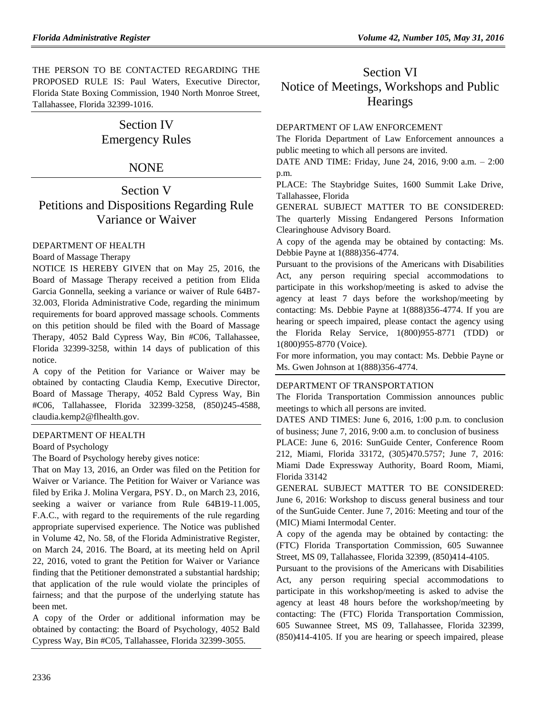THE PERSON TO BE CONTACTED REGARDING THE PROPOSED RULE IS: Paul Waters, Executive Director, Florida State Boxing Commission, 1940 North Monroe Street, Tallahassee, Florida 32399-1016.

# Section IV Emergency Rules

# NONE

# Section V Petitions and Dispositions Regarding Rule Variance or Waiver

#### [DEPARTMENT OF HEALTH](https://www.flrules.org/gateway/department.asp?id=64)

#### [Board of Massage Therapy](https://www.flrules.org/gateway/organization.asp?id=330)

NOTICE IS HEREBY GIVEN that on May 25, 2016, the Board of Massage Therapy received a petition from Elida Garcia Gonnella, seeking a variance or waiver of Rule 64B7- 32.003, Florida Administrative Code, regarding the minimum requirements for board approved massage schools. Comments on this petition should be filed with the Board of Massage Therapy, 4052 Bald Cypress Way, Bin #C06, Tallahassee, Florida 32399-3258, within 14 days of publication of this notice.

A copy of the Petition for Variance or Waiver may be obtained by contacting Claudia Kemp, Executive Director, Board of Massage Therapy, 4052 Bald Cypress Way, Bin #C06, Tallahassee, Florida 32399-3258, (850)245-4588, [claudia.kemp2@flhealth.gov.](mailto:claudia.kemp2@flhealth.gov)

#### [DEPARTMENT OF HEALTH](https://www.flrules.org/gateway/department.asp?id=64)

#### [Board of Psychology](https://www.flrules.org/gateway/organization.asp?id=310)

The Board of Psychology hereby gives notice:

That on May 13, 2016, an Order was filed on the Petition for Waiver or Variance. The Petition for Waiver or Variance was filed by Erika J. Molina Vergara, PSY. D., on March 23, 2016, seeking a waiver or variance from Rule 64B19-11.005, F.A.C., with regard to the requirements of the rule regarding appropriate supervised experience. The Notice was published in Volume 42, No. 58, of the Florida Administrative Register, on March 24, 2016. The Board, at its meeting held on April 22, 2016, voted to grant the Petition for Waiver or Variance finding that the Petitioner demonstrated a substantial hardship; that application of the rule would violate the principles of fairness; and that the purpose of the underlying statute has been met.

A copy of the Order or additional information may be obtained by contacting: the Board of Psychology, 4052 Bald Cypress Way, Bin #C05, Tallahassee, Florida 32399-3055.

# Section VI Notice of Meetings, Workshops and Public **Hearings**

#### [DEPARTMENT OF LAW ENFORCEMENT](https://www.flrules.org/gateway/department.asp?id=11)

The Florida Department of Law Enforcement announces a public meeting to which all persons are invited.

DATE AND TIME: Friday, June 24, 2016, 9:00 a.m. – 2:00 p.m.

PLACE: The Staybridge Suites, 1600 Summit Lake Drive, Tallahassee, Florida

GENERAL SUBJECT MATTER TO BE CONSIDERED: The quarterly Missing Endangered Persons Information Clearinghouse Advisory Board.

A copy of the agenda may be obtained by contacting: Ms. Debbie Payne at 1(888)356-4774.

Pursuant to the provisions of the Americans with Disabilities Act, any person requiring special accommodations to participate in this workshop/meeting is asked to advise the agency at least 7 days before the workshop/meeting by contacting: Ms. Debbie Payne at 1(888)356-4774. If you are hearing or speech impaired, please contact the agency using the Florida Relay Service, 1(800)955-8771 (TDD) or 1(800)955-8770 (Voice).

For more information, you may contact: Ms. Debbie Payne or Ms. Gwen Johnson at 1(888)356-4774.

#### [DEPARTMENT OF TRANSPORTATION](https://www.flrules.org/gateway/department.asp?id=14)

The Florida Transportation Commission announces public meetings to which all persons are invited.

DATES AND TIMES: June 6, 2016, 1:00 p.m. to conclusion of business; June 7, 2016, 9:00 a.m. to conclusion of business PLACE: June 6, 2016: SunGuide Center, Conference Room 212, Miami, Florida 33172, (305)470.5757; June 7, 2016: Miami Dade Expressway Authority, Board Room, Miami, Florida 33142

GENERAL SUBJECT MATTER TO BE CONSIDERED: June 6, 2016: Workshop to discuss general business and tour of the SunGuide Center. June 7, 2016: Meeting and tour of the (MIC) Miami Intermodal Center.

A copy of the agenda may be obtained by contacting: the (FTC) Florida Transportation Commission, 605 Suwannee Street, MS 09, Tallahassee, Florida 32399, (850)414-4105.

Pursuant to the provisions of the Americans with Disabilities Act, any person requiring special accommodations to participate in this workshop/meeting is asked to advise the agency at least 48 hours before the workshop/meeting by contacting: The (FTC) Florida Transportation Commission, 605 Suwannee Street, MS 09, Tallahassee, Florida 32399, (850)414-4105. If you are hearing or speech impaired, please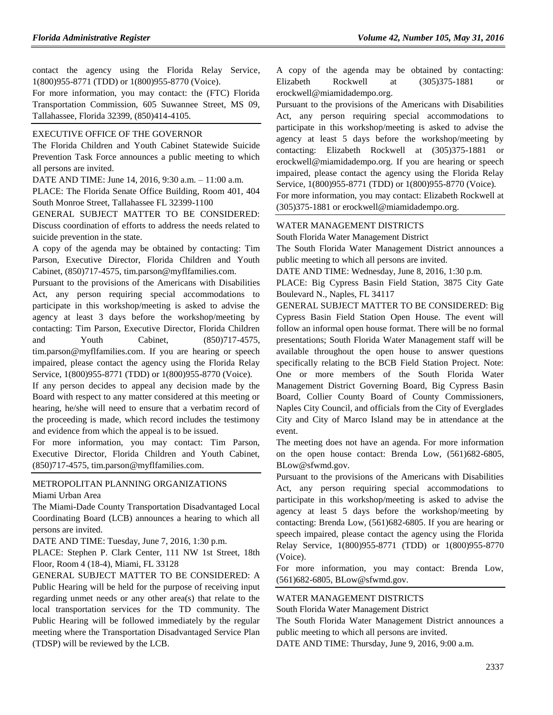contact the agency using the Florida Relay Service, 1(800)955-8771 (TDD) or 1(800)955-8770 (Voice).

For more information, you may contact: the (FTC) Florida Transportation Commission, 605 Suwannee Street, MS 09, Tallahassee, Florida 32399, (850)414-4105.

#### [EXECUTIVE OFFICE OF THE GOVERNOR](https://www.flrules.org/gateway/department.asp?id=27)

The Florida Children and Youth Cabinet Statewide Suicide Prevention Task Force announces a public meeting to which all persons are invited.

DATE AND TIME: June 14, 2016, 9:30 a.m. – 11:00 a.m.

PLACE: The Florida Senate Office Building, Room 401, 404 South Monroe Street, Tallahassee FL 32399-1100

GENERAL SUBJECT MATTER TO BE CONSIDERED: Discuss coordination of efforts to address the needs related to suicide prevention in the state.

A copy of the agenda may be obtained by contacting: Tim Parson, Executive Director, Florida Children and Youth Cabinet, (850)717-4575, [tim.parson@myflfamilies.com.](mailto:tim.parson@myflfamilies.com)

Pursuant to the provisions of the Americans with Disabilities Act, any person requiring special accommodations to participate in this workshop/meeting is asked to advise the agency at least 3 days before the workshop/meeting by contacting: Tim Parson, Executive Director, Florida Children and Youth Cabinet, (850)717-4575, [tim.parson@myflfamilies.com.](mailto:tim.parson@myflfamilies.com) If you are hearing or speech impaired, please contact the agency using the Florida Relay Service, 1(800)955-8771 (TDD) or 1(800)955-8770 (Voice).

If any person decides to appeal any decision made by the Board with respect to any matter considered at this meeting or hearing, he/she will need to ensure that a verbatim record of the proceeding is made, which record includes the testimony and evidence from which the appeal is to be issued.

For more information, you may contact: Tim Parson, Executive Director, Florida Children and Youth Cabinet, (850)717-4575, [tim.parson@myflfamilies.com.](mailto:tim.parson@myflfamilies.com)

#### [METROPOLITAN PLANNING ORGANIZATIONS](https://www.flrules.org/gateway/department.asp?id=35) [Miami Urban Area](https://www.flrules.org/gateway/organization.asp?id=89)

The Miami-Dade County Transportation Disadvantaged Local Coordinating Board (LCB) announces a hearing to which all persons are invited.

DATE AND TIME: Tuesday, June 7, 2016, 1:30 p.m.

PLACE: Stephen P. Clark Center, 111 NW 1st Street, 18th Floor, Room 4 (18-4), Miami, FL 33128

GENERAL SUBJECT MATTER TO BE CONSIDERED: A Public Hearing will be held for the purpose of receiving input regarding unmet needs or any other area(s) that relate to the local transportation services for the TD community. The Public Hearing will be followed immediately by the regular meeting where the Transportation Disadvantaged Service Plan (TDSP) will be reviewed by the LCB.

A copy of the agenda may be obtained by contacting: Elizabeth Rockwell at (305)375-1881 or [erockwell@miamidadempo.org.](mailto:erockwell@miamidadempo.org)

Pursuant to the provisions of the Americans with Disabilities Act, any person requiring special accommodations to participate in this workshop/meeting is asked to advise the agency at least 5 days before the workshop/meeting by contacting: Elizabeth Rockwell at (305)375-1881 or [erockwell@miamidadempo.org.](mailto:erockwell@miamidadempo.org) If you are hearing or speech impaired, please contact the agency using the Florida Relay Service, 1(800)955-8771 (TDD) or 1(800)955-8770 (Voice). For more information, you may contact: Elizabeth Rockwell at

(305)375-1881 or [erockwell@miamidadempo.org.](mailto:erockwell@miamidadempo.org)

#### [WATER MANAGEMENT DISTRICTS](https://www.flrules.org/gateway/department.asp?id=40)

[South Florida Water Management District](https://www.flrules.org/gateway/organization.asp?id=124)

The South Florida Water Management District announces a public meeting to which all persons are invited.

DATE AND TIME: Wednesday, June 8, 2016, 1:30 p.m.

PLACE: Big Cypress Basin Field Station, 3875 City Gate Boulevard N., Naples, FL 34117

GENERAL SUBJECT MATTER TO BE CONSIDERED: Big Cypress Basin Field Station Open House. The event will follow an informal open house format. There will be no formal presentations; South Florida Water Management staff will be available throughout the open house to answer questions specifically relating to the BCB Field Station Project. Note: One or more members of the South Florida Water Management District Governing Board, Big Cypress Basin Board, Collier County Board of County Commissioners, Naples City Council, and officials from the City of Everglades City and City of Marco Island may be in attendance at the event.

The meeting does not have an agenda. For more information on the open house contact: Brenda Low, (561)682-6805, [BLow@sfwmd.gov.](mailto:BLow@sfwmd.gov)

Pursuant to the provisions of the Americans with Disabilities Act, any person requiring special accommodations to participate in this workshop/meeting is asked to advise the agency at least 5 days before the workshop/meeting by contacting: Brenda Low, (561)682-6805. If you are hearing or speech impaired, please contact the agency using the Florida Relay Service, 1(800)955-8771 (TDD) or 1(800)955-8770 (Voice).

For more information, you may contact: Brenda Low, (561)682-6805, [BLow@sfwmd.gov.](mailto:BLow@sfwmd.gov)

#### [WATER MANAGEMENT DISTRICTS](https://www.flrules.org/gateway/department.asp?id=40)

[South Florida Water Management District](https://www.flrules.org/gateway/organization.asp?id=124)

The South Florida Water Management District announces a public meeting to which all persons are invited.

DATE AND TIME: Thursday, June 9, 2016, 9:00 a.m.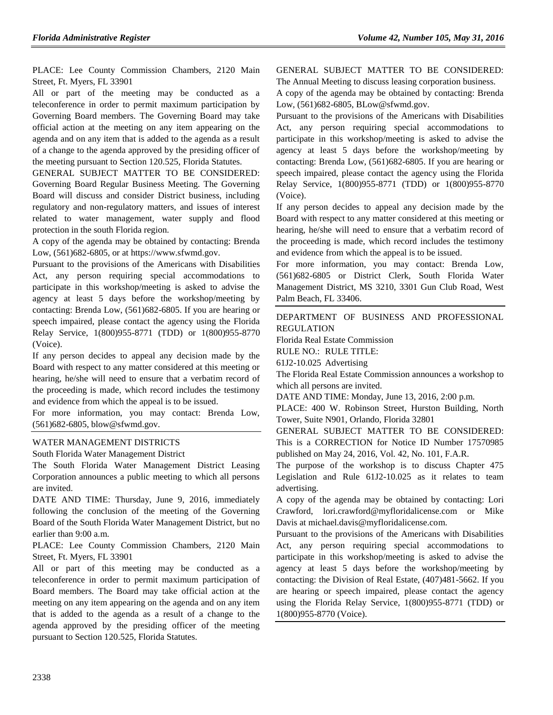PLACE: Lee County Commission Chambers, 2120 Main Street, Ft. Myers, FL 33901

All or part of the meeting may be conducted as a teleconference in order to permit maximum participation by Governing Board members. The Governing Board may take official action at the meeting on any item appearing on the agenda and on any item that is added to the agenda as a result of a change to the agenda approved by the presiding officer of the meeting pursuant to Section 120.525, Florida Statutes.

GENERAL SUBJECT MATTER TO BE CONSIDERED: Governing Board Regular Business Meeting. The Governing Board will discuss and consider District business, including regulatory and non-regulatory matters, and issues of interest related to water management, water supply and flood protection in the south Florida region.

A copy of the agenda may be obtained by contacting: Brenda Low, (561)682-6805, or at [https://www.sfwmd.gov.](https://www.sfwmd.gov/)

Pursuant to the provisions of the Americans with Disabilities Act, any person requiring special accommodations to participate in this workshop/meeting is asked to advise the agency at least 5 days before the workshop/meeting by contacting: Brenda Low, (561)682-6805. If you are hearing or speech impaired, please contact the agency using the Florida Relay Service, 1(800)955-8771 (TDD) or 1(800)955-8770 (Voice).

If any person decides to appeal any decision made by the Board with respect to any matter considered at this meeting or hearing, he/she will need to ensure that a verbatim record of the proceeding is made, which record includes the testimony and evidence from which the appeal is to be issued.

For more information, you may contact: Brenda Low, (561)682-6805, [blow@sfwmd.gov.](mailto:blow@sfwmd.gov)

#### [WATER MANAGEMENT DISTRICTS](https://www.flrules.org/gateway/department.asp?id=40)

[South Florida Water Management](https://www.flrules.org/gateway/organization.asp?id=124) District

The South Florida Water Management District Leasing Corporation announces a public meeting to which all persons are invited.

DATE AND TIME: Thursday, June 9, 2016, immediately following the conclusion of the meeting of the Governing Board of the South Florida Water Management District, but no earlier than 9:00 a.m.

PLACE: Lee County Commission Chambers, 2120 Main Street, Ft. Myers, FL 33901

All or part of this meeting may be conducted as a teleconference in order to permit maximum participation of Board members. The Board may take official action at the meeting on any item appearing on the agenda and on any item that is added to the agenda as a result of a change to the agenda approved by the presiding officer of the meeting pursuant to Section 120.525, Florida Statutes.

GENERAL SUBJECT MATTER TO BE CONSIDERED: The Annual Meeting to discuss leasing corporation business.

A copy of the agenda may be obtained by contacting: Brenda Low, (561)682-6805, [BLow@sfwmd.gov.](mailto:BLow@sfwmd.gov)

Pursuant to the provisions of the Americans with Disabilities Act, any person requiring special accommodations to participate in this workshop/meeting is asked to advise the agency at least 5 days before the workshop/meeting by contacting: Brenda Low, (561)682-6805. If you are hearing or speech impaired, please contact the agency using the Florida Relay Service, 1(800)955-8771 (TDD) or 1(800)955-8770 (Voice).

If any person decides to appeal any decision made by the Board with respect to any matter considered at this meeting or hearing, he/she will need to ensure that a verbatim record of the proceeding is made, which record includes the testimony and evidence from which the appeal is to be issued.

For more information, you may contact: Brenda Low, (561)682-6805 or District Clerk, South Florida Water Management District, MS 3210, 3301 Gun Club Road, West Palm Beach, FL 33406.

[DEPARTMENT OF BUSINESS AND PROFESSIONAL](https://www.flrules.org/gateway/department.asp?id=61)  [REGULATION](https://www.flrules.org/gateway/department.asp?id=61)

[Florida Real Estate Commission](https://www.flrules.org/gateway/organization.asp?id=283)

RULE NO.: RULE TITLE:

[61J2-10.025](https://www.flrules.org/gateway/ruleNo.asp?id=61J2-10.025) Advertising

The Florida Real Estate Commission announces a workshop to which all persons are invited.

DATE AND TIME: Monday, June 13, 2016, 2:00 p.m.

PLACE: 400 W. Robinson Street, Hurston Building, North Tower, Suite N901, Orlando, Florida 32801

GENERAL SUBJECT MATTER TO BE CONSIDERED: This is a CORRECTION for Notice ID Number 17570985 published on May 24, 2016, Vol. 42, No. 101, F.A.R.

The purpose of the workshop is to discuss Chapter 475 Legislation and Rule 61J2-10.025 as it relates to team advertising.

A copy of the agenda may be obtained by contacting: Lori Crawford, [lori.crawford@myfloridalicense.com](mailto:lori.crawford@myfloridalicense.com) or Mike Davis at [michael.davis@myfloridalicense.com.](mailto:michael.davis@myfloridalicense.com)

Pursuant to the provisions of the Americans with Disabilities Act, any person requiring special accommodations to participate in this workshop/meeting is asked to advise the agency at least 5 days before the workshop/meeting by contacting: the Division of Real Estate, (407)481-5662. If you are hearing or speech impaired, please contact the agency using the Florida Relay Service, 1(800)955-8771 (TDD) or 1(800)955-8770 (Voice).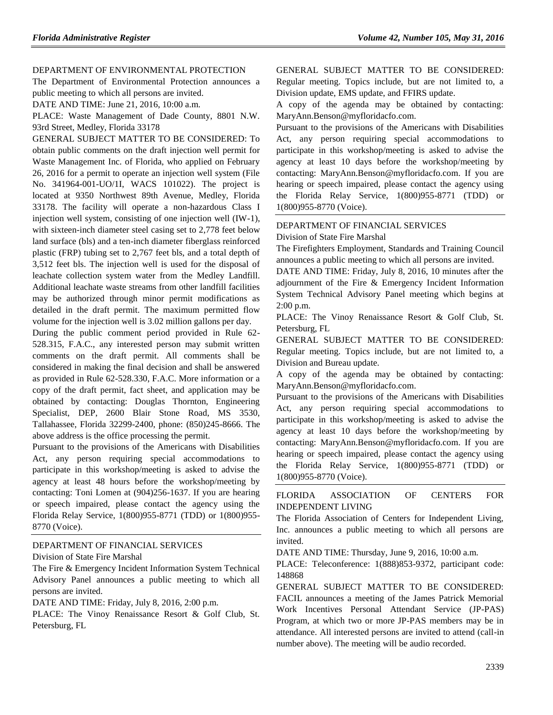#### [DEPARTMENT OF ENVIRONMENTAL PROTECTION](https://www.flrules.org/gateway/department.asp?id=62)

The Department of Environmental Protection announces a public meeting to which all persons are invited.

DATE AND TIME: June 21, 2016, 10:00 a.m.

PLACE: Waste Management of Dade County, 8801 N.W. 93rd Street, Medley, Florida 33178

GENERAL SUBJECT MATTER TO BE CONSIDERED: To obtain public comments on the draft injection well permit for Waste Management Inc. of Florida, who applied on February 26, 2016 for a permit to operate an injection well system (File No. 341964-001-UO/1I, WACS 101022). The project is located at 9350 Northwest 89th Avenue, Medley, Florida 33178. The facility will operate a non-hazardous Class I injection well system, consisting of one injection well (IW-1), with sixteen-inch diameter steel casing set to 2,778 feet below land surface (bls) and a ten-inch diameter fiberglass reinforced plastic (FRP) tubing set to 2,767 feet bls, and a total depth of 3,512 feet bls. The injection well is used for the disposal of leachate collection system water from the Medley Landfill. Additional leachate waste streams from other landfill facilities may be authorized through minor permit modifications as detailed in the draft permit. The maximum permitted flow volume for the injection well is 3.02 million gallons per day.

During the public comment period provided in Rule 62- 528.315, F.A.C., any interested person may submit written comments on the draft permit. All comments shall be considered in making the final decision and shall be answered as provided in Rule 62-528.330, F.A.C. More information or a copy of the draft permit, fact sheet, and application may be obtained by contacting: Douglas Thornton, Engineering Specialist, DEP, 2600 Blair Stone Road, MS 3530, Tallahassee, Florida 32299-2400, phone: (850)245-8666. The above address is the office processing the permit.

Pursuant to the provisions of the Americans with Disabilities Act, any person requiring special accommodations to participate in this workshop/meeting is asked to advise the agency at least 48 hours before the workshop/meeting by contacting: Toni Lomen at (904)256-1637. If you are hearing or speech impaired, please contact the agency using the Florida Relay Service, 1(800)955-8771 (TDD) or 1(800)955- 8770 (Voice).

#### [DEPARTMENT OF FINANCIAL SERVICES](https://www.flrules.org/gateway/department.asp?id=69)

[Division of State Fire Marshal](https://www.flrules.org/gateway/organization.asp?id=359)

The Fire & Emergency Incident Information System Technical Advisory Panel announces a public meeting to which all persons are invited.

DATE AND TIME: Friday, July 8, 2016, 2:00 p.m.

PLACE: The Vinoy Renaissance Resort & Golf Club, St. Petersburg, FL

GENERAL SUBJECT MATTER TO BE CONSIDERED: Regular meeting. Topics include, but are not limited to, a Division update, EMS update, and FFIRS update.

A copy of the agenda may be obtained by contacting: [MaryAnn.Benson@myfloridacfo.com.](mailto:MaryAnn.Benson@myfloridacfo.com)

Pursuant to the provisions of the Americans with Disabilities Act, any person requiring special accommodations to participate in this workshop/meeting is asked to advise the agency at least 10 days before the workshop/meeting by contacting: [MaryAnn.Benson@myfloridacfo.com.](mailto:MaryAnn.Benson@myfloridacfo.com) If you are hearing or speech impaired, please contact the agency using the Florida Relay Service, 1(800)955-8771 (TDD) or 1(800)955-8770 (Voice).

#### [DEPARTMENT OF FINANCIAL SERVICES](https://www.flrules.org/gateway/department.asp?id=69) [Division of State Fire Marshal](https://www.flrules.org/gateway/organization.asp?id=359)

The Firefighters Employment, Standards and Training Council announces a public meeting to which all persons are invited.

DATE AND TIME: Friday, July 8, 2016, 10 minutes after the adjournment of the Fire & Emergency Incident Information System Technical Advisory Panel meeting which begins at 2:00 p.m.

PLACE: The Vinoy Renaissance Resort & Golf Club, St. Petersburg, FL

GENERAL SUBJECT MATTER TO BE CONSIDERED: Regular meeting. Topics include, but are not limited to, a Division and Bureau update.

A copy of the agenda may be obtained by contacting: [MaryAnn.Benson@myfloridacfo.com.](mailto:MaryAnn.Benson@myfloridacfo.com)

Pursuant to the provisions of the Americans with Disabilities Act, any person requiring special accommodations to participate in this workshop/meeting is asked to advise the agency at least 10 days before the workshop/meeting by contacting: [MaryAnn.Benson@myfloridacfo.com.](mailto:MaryAnn.Benson@myfloridacfo.com) If you are hearing or speech impaired, please contact the agency using the Florida Relay Service, 1(800)955-8771 (TDD) or 1(800)955-8770 (Voice).

### [FLORIDA ASSOCIATION OF CENTERS FOR](https://www.flrules.org/gateway/organization.asp?id=944)  [INDEPENDENT LIVING](https://www.flrules.org/gateway/organization.asp?id=944)

The Florida Association of Centers for Independent Living, Inc. announces a public meeting to which all persons are invited.

DATE AND TIME: Thursday, June 9, 2016, 10:00 a.m.

PLACE: Teleconference: 1(888)853-9372, participant code: 148868

GENERAL SUBJECT MATTER TO BE CONSIDERED: FACIL announces a meeting of the James Patrick Memorial Work Incentives Personal Attendant Service (JP-PAS) Program, at which two or more JP-PAS members may be in attendance. All interested persons are invited to attend (call-in number above). The meeting will be audio recorded.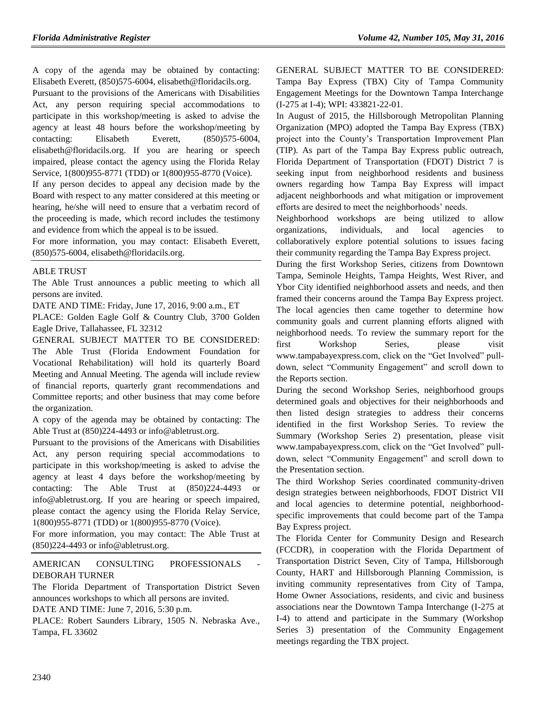A copy of the agenda may be obtained by contacting: Elisabeth Everett, (850)575-6004[, elisabeth@floridacils.org.](mailto:elisabeth@floridacils.org)

Pursuant to the provisions of the Americans with Disabilities Act, any person requiring special accommodations to participate in this workshop/meeting is asked to advise the agency at least 48 hours before the workshop/meeting by contacting: Elisabeth Everett, (850)575-6004, [elisabeth@floridacils.org.](mailto:elisabeth@floridacils.org) If you are hearing or speech impaired, please contact the agency using the Florida Relay Service, 1(800)955-8771 (TDD) or 1(800)955-8770 (Voice).

If any person decides to appeal any decision made by the Board with respect to any matter considered at this meeting or hearing, he/she will need to ensure that a verbatim record of the proceeding is made, which record includes the testimony and evidence from which the appeal is to be issued.

For more information, you may contact: Elisabeth Everett, (850)575-6004, [elisabeth@floridacils.org.](mailto:elisabeth@floridacils.org)

## [ABLE TRUST](https://www.flrules.org/gateway/organization.asp?id=604)

The Able Trust announces a public meeting to which all persons are invited.

DATE AND TIME: Friday, June 17, 2016, 9:00 a.m., ET

PLACE: Golden Eagle Golf & Country Club, 3700 Golden Eagle Drive, Tallahassee, FL 32312

GENERAL SUBJECT MATTER TO BE CONSIDERED: The Able Trust (Florida Endowment Foundation for Vocational Rehabilitation) will hold its quarterly Board Meeting and Annual Meeting. The agenda will include review of financial reports, quarterly grant recommendations and Committee reports; and other business that may come before the organization.

A copy of the agenda may be obtained by contacting: The Able Trust at (850)224-4493 o[r info@abletrust.org.](mailto:info@abletrust.org)

Pursuant to the provisions of the Americans with Disabilities Act, any person requiring special accommodations to participate in this workshop/meeting is asked to advise the agency at least 4 days before the workshop/meeting by contacting: The Able Trust at (850)224-4493 or [info@abletrust.org.](mailto:info@abletrust.org) If you are hearing or speech impaired, please contact the agency using the Florida Relay Service, 1(800)955-8771 (TDD) or 1(800)955-8770 (Voice).

For more information, you may contact: The Able Trust at (850)224-4493 or [info@abletrust.org.](mailto:info@abletrust.org)

## AMERICAN CONSULTING PROFESSIONALS [DEBORAH TURNER](https://www.flrules.org/gateway/organization.asp?id=977)

The Florida Department of Transportation District Seven announces workshops to which all persons are invited.

DATE AND TIME: June 7, 2016, 5:30 p.m.

PLACE: Robert Saunders Library, 1505 N. Nebraska Ave., Tampa, FL 33602

GENERAL SUBJECT MATTER TO BE CONSIDERED: Tampa Bay Express (TBX) City of Tampa Community Engagement Meetings for the Downtown Tampa Interchange (I-275 at I-4); WPI: 433821-22-01.

In August of 2015, the Hillsborough Metropolitan Planning Organization (MPO) adopted the Tampa Bay Express (TBX) project into the County's Transportation Improvement Plan (TIP). As part of the Tampa Bay Express public outreach, Florida Department of Transportation (FDOT) District 7 is seeking input from neighborhood residents and business owners regarding how Tampa Bay Express will impact adjacent neighborhoods and what mitigation or improvement efforts are desired to meet the neighborhoods' needs.

Neighborhood workshops are being utilized to allow organizations, individuals, and local agencies to collaboratively explore potential solutions to issues facing their community regarding the Tampa Bay Express project.

During the first Workshop Series, citizens from Downtown Tampa, Seminole Heights, Tampa Heights, West River, and Ybor City identified neighborhood assets and needs, and then framed their concerns around the Tampa Bay Express project. The local agencies then came together to determine how community goals and current planning efforts aligned with neighborhood needs. To review the summary report for the first Workshop Series, please visit [www.tampabayexpress.com,](http://www.tampabayexpress.com/) click on the "Get Involved" pulldown, select "Community Engagement" and scroll down to the Reports section.

During the second Workshop Series, neighborhood groups determined goals and objectives for their neighborhoods and then listed design strategies to address their concerns identified in the first Workshop Series. To review the Summary (Workshop Series 2) presentation, please visit [www.tampabayexpress.com,](http://www.tampabayexpress.com/) click on the "Get Involved" pulldown, select "Community Engagement" and scroll down to the Presentation section.

The third Workshop Series coordinated community-driven design strategies between neighborhoods, FDOT District VII and local agencies to determine potential, neighborhoodspecific improvements that could become part of the Tampa Bay Express project.

The Florida Center for Community Design and Research (FCCDR), in cooperation with the Florida Department of Transportation District Seven, City of Tampa, Hillsborough County, HART and Hillsborough Planning Commission, is inviting community representatives from City of Tampa, Home Owner Associations, residents, and civic and business associations near the Downtown Tampa Interchange (I-275 at I-4) to attend and participate in the Summary (Workshop Series 3) presentation of the Community Engagement meetings regarding the TBX project.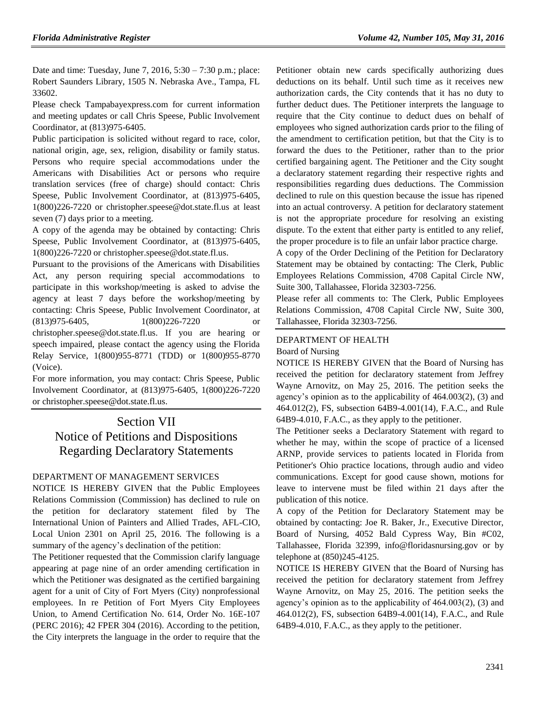Date and time: Tuesday, June 7, 2016, 5:30 – 7:30 p.m.; place: Robert Saunders Library, 1505 N. Nebraska Ave., Tampa, FL 33602.

Please check Tampabayexpress.com for current information and meeting updates or call Chris Speese, Public Involvement Coordinator, at (813)975-6405.

Public participation is solicited without regard to race, color, national origin, age, sex, religion, disability or family status. Persons who require special accommodations under the Americans with Disabilities Act or persons who require translation services (free of charge) should contact: Chris Speese, Public Involvement Coordinator, at (813)975-6405, 1(800)226-7220 or [christopher.speese@dot.state.fl.us](mailto:christopher.speese@dot.state.fl.us) at least seven (7) days prior to a meeting.

A copy of the agenda may be obtained by contacting: Chris Speese, Public Involvement Coordinator, at (813)975-6405, 1(800)226-7220 or [christopher.speese@dot.state.fl.us.](mailto:christopher.speese@dot.state.fl.us)

Pursuant to the provisions of the Americans with Disabilities Act, any person requiring special accommodations to participate in this workshop/meeting is asked to advise the agency at least 7 days before the workshop/meeting by contacting: Chris Speese, Public Involvement Coordinator, at (813)975-6405, 1(800)226-7220 or [christopher.speese@dot.state.fl.us.](mailto:christopher.speese@dot.state.fl.us) If you are hearing or speech impaired, please contact the agency using the Florida Relay Service, 1(800)955-8771 (TDD) or 1(800)955-8770 (Voice).

For more information, you may contact: Chris Speese, Public Involvement Coordinator, at (813)975-6405, 1(800)226-7220 or [christopher.speese@dot.state.fl.us.](mailto:christopher.speese@dot.state.fl.us)

# Section VII Notice of Petitions and Dispositions Regarding Declaratory Statements

# [DEPARTMENT OF MANAGEMENT SERVICES](https://www.flrules.org/gateway/department.asp?id=60)

NOTICE IS HEREBY GIVEN that the Public Employees Relations Commission (Commission) has declined to rule on the petition for declaratory statement filed by The International Union of Painters and Allied Trades, AFL-CIO, Local Union 2301 on April 25, 2016. The following is a summary of the agency's declination of the petition:

The Petitioner requested that the Commission clarify language appearing at page nine of an order amending certification in which the Petitioner was designated as the certified bargaining agent for a unit of City of Fort Myers (City) nonprofessional employees. In re Petition of Fort Myers City Employees Union, to Amend Certification No. 614, Order No. 16E-107 (PERC 2016); 42 FPER 304 (2016). According to the petition, the City interprets the language in the order to require that the Petitioner obtain new cards specifically authorizing dues deductions on its behalf. Until such time as it receives new authorization cards, the City contends that it has no duty to further deduct dues. The Petitioner interprets the language to require that the City continue to deduct dues on behalf of employees who signed authorization cards prior to the filing of the amendment to certification petition, but that the City is to forward the dues to the Petitioner, rather than to the prior certified bargaining agent. The Petitioner and the City sought a declaratory statement regarding their respective rights and responsibilities regarding dues deductions. The Commission declined to rule on this question because the issue has ripened into an actual controversy. A petition for declaratory statement is not the appropriate procedure for resolving an existing dispute. To the extent that either party is entitled to any relief, the proper procedure is to file an unfair labor practice charge.

A copy of the Order Declining of the Petition for Declaratory Statement may be obtained by contacting: The Clerk, Public Employees Relations Commission, 4708 Capital Circle NW, Suite 300, Tallahassee, Florida 32303-7256.

Please refer all comments to: The Clerk, Public Employees Relations Commission, 4708 Capital Circle NW, Suite 300, Tallahassee, Florida 32303-7256.

## [DEPARTMENT OF HEALTH](https://www.flrules.org/gateway/department.asp?id=64)

#### [Board of Nursing](https://www.flrules.org/gateway/organization.asp?id=332)

NOTICE IS HEREBY GIVEN that the Board of Nursing has received the petition for declaratory statement from Jeffrey Wayne Arnovitz, on May 25, 2016. The petition seeks the agency's opinion as to the applicability of 464.003(2), (3) and 464.012(2), FS, subsection 64B9-4.001(14), F.A.C., and Rule 64B9-4.010, F.A.C., as they apply to the petitioner.

The Petitioner seeks a Declaratory Statement with regard to whether he may, within the scope of practice of a licensed ARNP, provide services to patients located in Florida from Petitioner's Ohio practice locations, through audio and video communications. Except for good cause shown, motions for leave to intervene must be filed within 21 days after the publication of this notice.

A copy of the Petition for Declaratory Statement may be obtained by contacting: Joe R. Baker, Jr., Executive Director, Board of Nursing, 4052 Bald Cypress Way, Bin #C02, Tallahassee, Florida 32399, info@floridasnursing.gov or by telephone at (850)245-4125.

NOTICE IS HEREBY GIVEN that the Board of Nursing has received the petition for declaratory statement from Jeffrey Wayne Arnovitz, on May 25, 2016. The petition seeks the agency's opinion as to the applicability of 464.003(2), (3) and 464.012(2), FS, subsection 64B9-4.001(14), F.A.C., and Rule 64B9-4.010, F.A.C., as they apply to the petitioner.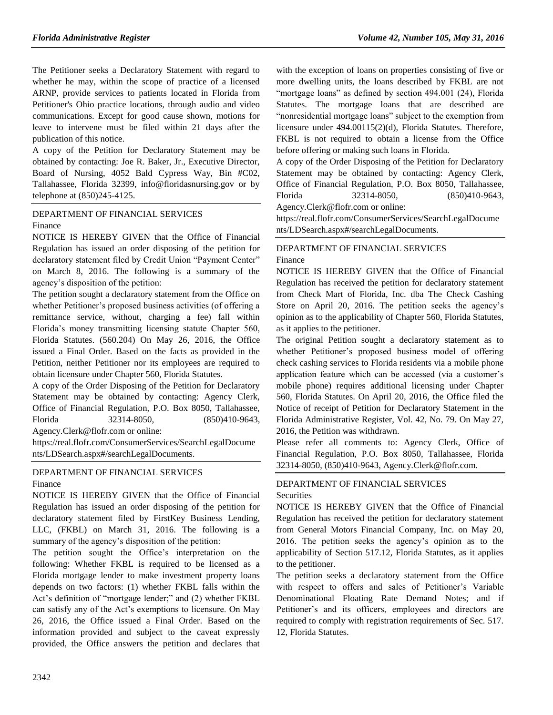The Petitioner seeks a Declaratory Statement with regard to whether he may, within the scope of practice of a licensed ARNP, provide services to patients located in Florida from Petitioner's Ohio practice locations, through audio and video communications. Except for good cause shown, motions for leave to intervene must be filed within 21 days after the publication of this notice.

A copy of the Petition for Declaratory Statement may be obtained by contacting: Joe R. Baker, Jr., Executive Director, Board of Nursing, 4052 Bald Cypress Way, Bin #C02, Tallahassee, Florida 32399, info@floridasnursing.gov or by telephone at (850)245-4125.

[DEPARTMENT OF FINANCIAL SERVICES](https://www.flrules.org/gateway/department.asp?id=69) [Finance](https://www.flrules.org/gateway/organization.asp?id=524)

NOTICE IS HEREBY GIVEN that the Office of Financial Regulation has issued an order disposing of the petition for declaratory statement filed by Credit Union "Payment Center" on March 8, 2016. The following is a summary of the agency's disposition of the petition:

The petition sought a declaratory statement from the Office on whether Petitioner's proposed business activities (of offering a remittance service, without, charging a fee) fall within Florida's money transmitting licensing statute Chapter 560, Florida Statutes. (560.204) On May 26, 2016, the Office issued a Final Order. Based on the facts as provided in the Petition, neither Petitioner nor its employees are required to obtain licensure under Chapter 560, Florida Statutes.

A copy of the Order Disposing of the Petition for Declaratory Statement may be obtained by contacting: Agency Clerk, Office of Financial Regulation, P.O. Box 8050, Tallahassee, Florida 32314-8050, (850)410-9643,

Agency.Clerk@flofr.com or online:

[https://real.flofr.com/ConsumerServices/SearchLegalDocume](https://real.flofr.com/ConsumerServices/SearchLegalDocuments/LDSearch.aspx#/searchLegalDocuments) [nts/LDSearch.aspx#/searchLegalDocuments.](https://real.flofr.com/ConsumerServices/SearchLegalDocuments/LDSearch.aspx#/searchLegalDocuments)

#### [DEPARTMENT OF FINANCIAL SERVICES](https://www.flrules.org/gateway/department.asp?id=69) [Finance](https://www.flrules.org/gateway/organization.asp?id=524)

NOTICE IS HEREBY GIVEN that the Office of Financial Regulation has issued an order disposing of the petition for declaratory statement filed by FirstKey Business Lending, LLC, (FKBL) on March 31, 2016. The following is a summary of the agency's disposition of the petition:

The petition sought the Office's interpretation on the following: Whether FKBL is required to be licensed as a Florida mortgage lender to make investment property loans depends on two factors: (1) whether FKBL falls within the Act's definition of "mortgage lender;" and (2) whether FKBL can satisfy any of the Act's exemptions to licensure. On May 26, 2016, the Office issued a Final Order. Based on the information provided and subject to the caveat expressly provided, the Office answers the petition and declares that with the exception of loans on properties consisting of five or more dwelling units, the loans described by FKBL are not "mortgage loans" as defined by section 494.001 (24), Florida Statutes. The mortgage loans that are described are "nonresidential mortgage loans" subject to the exemption from licensure under 494.00115(2)(d), Florida Statutes. Therefore, FKBL is not required to obtain a license from the Office before offering or making such loans in Florida.

A copy of the Order Disposing of the Petition for Declaratory Statement may be obtained by contacting: Agency Clerk, Office of Financial Regulation, P.O. Box 8050, Tallahassee, Florida 32314-8050, (850)410-9643,

Agency.Clerk@flofr.com or online:

[https://real.flofr.com/ConsumerServices/SearchLegalDocume](https://real.flofr.com/ConsumerServices/SearchLegalDocuments/LDSearch.aspx#/searchLegalDocuments) [nts/LDSearch.aspx#/searchLegalDocuments.](https://real.flofr.com/ConsumerServices/SearchLegalDocuments/LDSearch.aspx#/searchLegalDocuments)

# [DEPARTMENT OF FINANCIAL SERVICES](https://www.flrules.org/gateway/department.asp?id=69) [Finance](https://www.flrules.org/gateway/organization.asp?id=524)

NOTICE IS HEREBY GIVEN that the Office of Financial Regulation has received the petition for declaratory statement from Check Mart of Florida, Inc. dba The Check Cashing Store on April 20, 2016. The petition seeks the agency's opinion as to the applicability of Chapter 560, Florida Statutes, as it applies to the petitioner.

The original Petition sought a declaratory statement as to whether Petitioner's proposed business model of offering check cashing services to Florida residents via a mobile phone application feature which can be accessed (via a customer's mobile phone) requires additional licensing under Chapter 560, Florida Statutes. On April 20, 2016, the Office filed the Notice of receipt of Petition for Declaratory Statement in the Florida Administrative Register, Vol. 42, No. 79. On May 27, 2016, the Petition was withdrawn.

Please refer all comments to: Agency Clerk, Office of Financial Regulation, P.O. Box 8050, Tallahassee, Florida 32314-8050, (850)410-9643, [Agency.Clerk@flofr.com.](mailto:Agency.Clerk@flofr.com)

## [DEPARTMENT OF FINANCIAL SERVICES](https://www.flrules.org/gateway/department.asp?id=69) **[Securities](https://www.flrules.org/gateway/organization.asp?id=525)**

NOTICE IS HEREBY GIVEN that the Office of Financial Regulation has received the petition for declaratory statement from General Motors Financial Company, Inc. on May 20, 2016. The petition seeks the agency's opinion as to the applicability of Section 517.12, Florida Statutes, as it applies to the petitioner.

The petition seeks a declaratory statement from the Office with respect to offers and sales of Petitioner's Variable Denominational Floating Rate Demand Notes; and if Petitioner's and its officers, employees and directors are required to comply with registration requirements of Sec. 517. 12, Florida Statutes.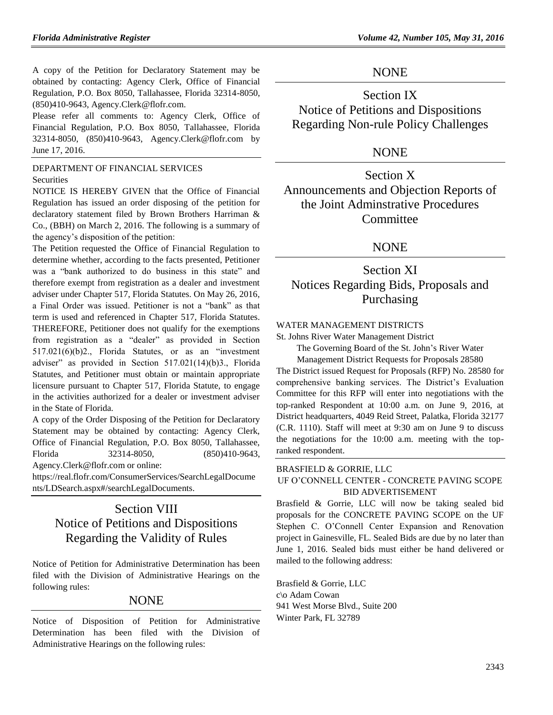A copy of the Petition for Declaratory Statement may be obtained by contacting: Agency Clerk, Office of Financial Regulation, P.O. Box 8050, Tallahassee, Florida 32314-8050, (850)410-9643, [Agency.Clerk@flofr.com.](mailto:Agency.Clerk@flofr.com)

Please refer all comments to: Agency Clerk, Office of Financial Regulation, P.O. Box 8050, Tallahassee, Florida 32314-8050, (850)410-9643, [Agency.Clerk@flofr.com](mailto:Agency.Clerk@flofr.com) by June 17, 2016.

# [DEPARTMENT OF FINANCIAL SERVICES](https://www.flrules.org/gateway/department.asp?id=69)

## **[Securities](https://www.flrules.org/gateway/organization.asp?id=525)**

NOTICE IS HEREBY GIVEN that the Office of Financial Regulation has issued an order disposing of the petition for declaratory statement filed by Brown Brothers Harriman & Co., (BBH) on March 2, 2016. The following is a summary of the agency's disposition of the petition:

The Petition requested the Office of Financial Regulation to determine whether, according to the facts presented, Petitioner was a "bank authorized to do business in this state" and therefore exempt from registration as a dealer and investment adviser under Chapter 517, Florida Statutes. On May 26, 2016, a Final Order was issued. Petitioner is not a "bank" as that term is used and referenced in Chapter 517, Florida Statutes. THEREFORE, Petitioner does not qualify for the exemptions from registration as a "dealer" as provided in Section 517.021(6)(b)2., Florida Statutes, or as an "investment adviser" as provided in Section 517.021(14)(b)3., Florida Statutes, and Petitioner must obtain or maintain appropriate licensure pursuant to Chapter 517, Florida Statute, to engage in the activities authorized for a dealer or investment adviser in the State of Florida.

A copy of the Order Disposing of the Petition for Declaratory Statement may be obtained by contacting: Agency Clerk, Office of Financial Regulation, P.O. Box 8050, Tallahassee, Florida 32314-8050, (850)410-9643,

Agency.Clerk@flofr.com or online:

[https://real.flofr.com/ConsumerServices/SearchLegalDocume](https://real.flofr.com/ConsumerServices/SearchLegalDocuments/LDSearch.aspx#/searchLegalDocuments) [nts/LDSearch.aspx#/searchLegalDocuments.](https://real.flofr.com/ConsumerServices/SearchLegalDocuments/LDSearch.aspx#/searchLegalDocuments)

# Section VIII Notice of Petitions and Dispositions Regarding the Validity of Rules

Notice of Petition for Administrative Determination has been filed with the Division of Administrative Hearings on the following rules:

# **NONE**

Notice of Disposition of Petition for Administrative Determination has been filed with the Division of Administrative Hearings on the following rules:

# NONE

Section IX Notice of Petitions and Dispositions Regarding Non-rule Policy Challenges

# NONE

Section X Announcements and Objection Reports of the Joint Adminstrative Procedures **Committee** 

# **NONE**

Section XI Notices Regarding Bids, Proposals and Purchasing

## [WATER MANAGEMENT DISTRICTS](https://www.flrules.org/gateway/department.asp?id=40)

[St. Johns River Water Management District](https://www.flrules.org/gateway/organization.asp?id=122)

The Governing Board of the St. John's River Water

Management District Requests for Proposals 28580 The District issued Request for Proposals (RFP) No. 28580 for comprehensive banking services. The District's Evaluation Committee for this RFP will enter into negotiations with the top-ranked Respondent at 10:00 a.m. on June 9, 2016, at District headquarters, 4049 Reid Street, Palatka, Florida 32177 (C.R. 1110). Staff will meet at 9:30 am on June 9 to discuss the negotiations for the 10:00 a.m. meeting with the topranked respondent.

# [BRASFIELD & GORRIE, LLC](https://www.flrules.org/gateway/organization.asp?id=1219)

UF O'CONNELL CENTER - CONCRETE PAVING SCOPE BID ADVERTISEMENT

Brasfield & Gorrie, LLC will now be taking sealed bid proposals for the CONCRETE PAVING SCOPE on the UF Stephen C. O'Connell Center Expansion and Renovation project in Gainesville, FL. Sealed Bids are due by no later than June 1, 2016. Sealed bids must either be hand delivered or mailed to the following address:

Brasfield & Gorrie, LLC c\o Adam Cowan 941 West Morse Blvd., Suite 200 Winter Park, FL 32789